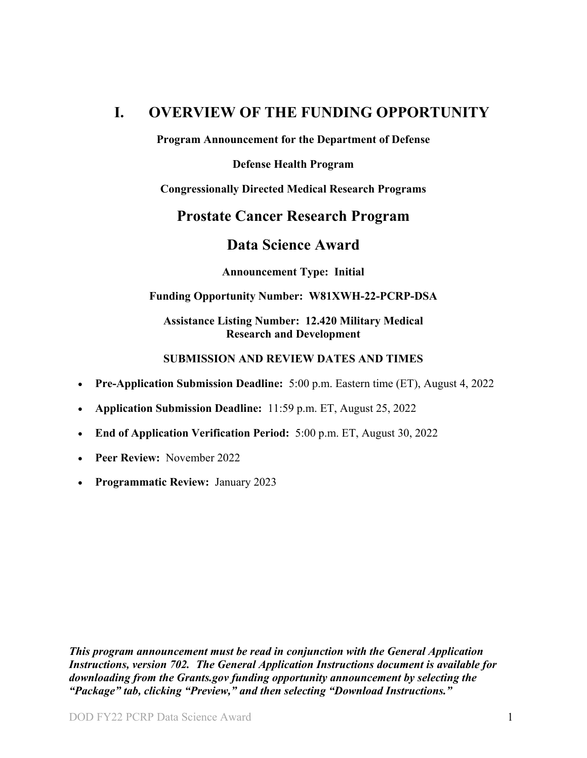## <span id="page-0-0"></span>**I. OVERVIEW OF THE FUNDING OPPORTUNITY**

**Program Announcement for the Department of Defense**

**Defense Health Program**

**Congressionally Directed Medical Research Programs**

## **Prostate Cancer Research Program**

## **Data Science Award**

**Announcement Type: Initial**

### **Funding Opportunity Number: W81XWH-22-PCRP-DSA**

#### **Assistance Listing Number: 12.420 Military Medical Research and Development**

### **SUBMISSION AND REVIEW DATES AND TIMES**

- <span id="page-0-1"></span>• **Pre-Application Submission Deadline:** 5:00 p.m. Eastern time (ET), August 4, 2022
- **Application Submission Deadline:** 11:59 p.m. ET, August 25, 2022
- **End of Application Verification Period:** 5:00 p.m. ET, August 30, 2022
- Peer Review: November 2022
- **Programmatic Review:** January 2023

*This program announcement must be read in conjunction with the General Application Instructions, version 702.**The General Application Instructions document is available for downloading from the Grants.gov funding opportunity announcement by selecting the "Package" tab, clicking "Preview," and then selecting "Download Instructions."*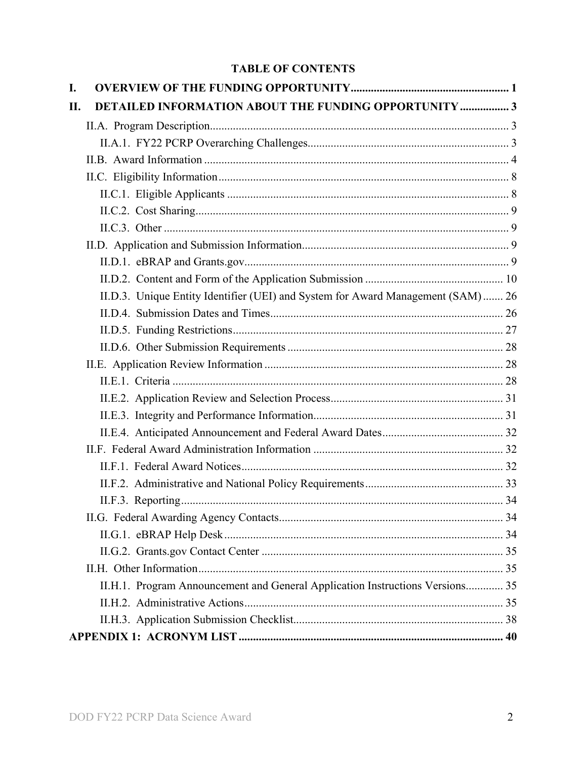## **TABLE OF CONTENTS**

| I.  |                                                                                  |  |
|-----|----------------------------------------------------------------------------------|--|
| II. | <b>DETAILED INFORMATION ABOUT THE FUNDING OPPORTUNITY  3</b>                     |  |
|     |                                                                                  |  |
|     |                                                                                  |  |
|     |                                                                                  |  |
|     |                                                                                  |  |
|     |                                                                                  |  |
|     |                                                                                  |  |
|     |                                                                                  |  |
|     |                                                                                  |  |
|     |                                                                                  |  |
|     |                                                                                  |  |
|     | II.D.3. Unique Entity Identifier (UEI) and System for Award Management (SAM)  26 |  |
|     |                                                                                  |  |
|     |                                                                                  |  |
|     |                                                                                  |  |
|     |                                                                                  |  |
|     |                                                                                  |  |
|     |                                                                                  |  |
|     |                                                                                  |  |
|     |                                                                                  |  |
|     |                                                                                  |  |
|     |                                                                                  |  |
|     |                                                                                  |  |
|     |                                                                                  |  |
|     |                                                                                  |  |
|     |                                                                                  |  |
|     |                                                                                  |  |
|     |                                                                                  |  |
|     | II.H.1. Program Announcement and General Application Instructions Versions 35    |  |
|     |                                                                                  |  |
|     |                                                                                  |  |
|     |                                                                                  |  |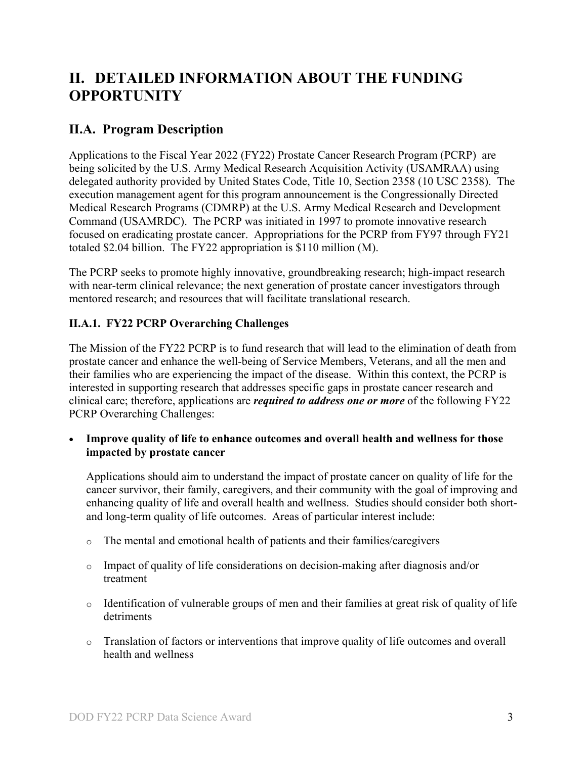# <span id="page-2-0"></span>**II. DETAILED INFORMATION ABOUT THE FUNDING OPPORTUNITY**

## <span id="page-2-1"></span>**II.A. Program Description**

Applications to the Fiscal Year 2022 (FY22) Prostate Cancer Research Program (PCRP) are being solicited by the U.S. Army Medical Research Acquisition Activity (USAMRAA) using delegated authority provided by United States Code, Title 10, Section 2358 (10 USC 2358). The execution management agent for this program announcement is the Congressionally Directed Medical Research Programs (CDMRP) at the U.S. Army Medical Research and Development Command (USAMRDC). The PCRP was initiated in 1997 to promote innovative research focused on eradicating prostate cancer. Appropriations for the PCRP from FY97 through FY21 totaled \$2.04 billion. The FY22 appropriation is \$110 million (M).

The PCRP seeks to promote highly innovative, groundbreaking research; high-impact research with near-term clinical relevance; the next generation of prostate cancer investigators through mentored research; and resources that will facilitate translational research.

## <span id="page-2-2"></span>**II.A.1. FY22 PCRP Overarching Challenges**

The Mission of the FY22 PCRP is to fund research that will lead to the elimination of death from prostate cancer and enhance the well-being of Service Members, Veterans, and all the men and their families who are experiencing the impact of the disease. Within this context, the PCRP is interested in supporting research that addresses specific gaps in prostate cancer research and clinical care; therefore, applications are *required to address one or more* of the following FY22 PCRP Overarching Challenges:

• **Improve quality of life to enhance outcomes and overall health and wellness for those impacted by prostate cancer**

Applications should aim to understand the impact of prostate cancer on quality of life for the cancer survivor, their family, caregivers, and their community with the goal of improving and enhancing quality of life and overall health and wellness. Studies should consider both shortand long-term quality of life outcomes. Areas of particular interest include:

- o The mental and emotional health of patients and their families/caregivers
- o Impact of quality of life considerations on decision-making after diagnosis and/or treatment
- o Identification of vulnerable groups of men and their families at great risk of quality of life detriments
- o Translation of factors or interventions that improve quality of life outcomes and overall health and wellness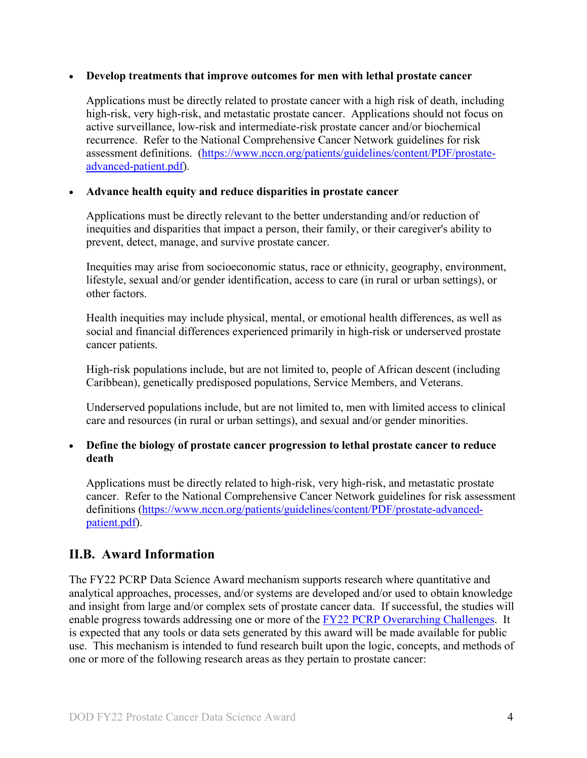#### • **Develop treatments that improve outcomes for men with lethal prostate cancer**

Applications must be directly related to prostate cancer with a high risk of death, including high-risk, very high-risk, and metastatic prostate cancer. Applications should not focus on active surveillance, low-risk and intermediate-risk prostate cancer and/or biochemical recurrence. Refer to the National Comprehensive Cancer Network guidelines for risk assessment definitions. [\(https://www.nccn.org/patients/guidelines/content/PDF/prostate](file://amedmrmcdf001/USAMRMC/CDMRP/Public/Leidos/Leidos%20Business%20(R)/8%20Program%20Teams/PCRP/16-Program%20Announcements/FY21/Template/(https:/www.ncc%20n.org/patients/guidelines/content/PDF/prostate-advanced-patient.pdf)[advanced-patient.pdf\)](file://amedmrmcdf001/USAMRMC/CDMRP/Public/Leidos/Leidos%20Business%20(R)/8%20Program%20Teams/PCRP/16-Program%20Announcements/FY21/Template/(https:/www.ncc%20n.org/patients/guidelines/content/PDF/prostate-advanced-patient.pdf).

#### • **Advance health equity and reduce disparities in prostate cancer**

Applications must be directly relevant to the better understanding and/or reduction of inequities and disparities that impact a person, their family, or their caregiver's ability to prevent, detect, manage, and survive prostate cancer.

Inequities may arise from socioeconomic status, race or ethnicity, geography, environment, lifestyle, sexual and/or gender identification, access to care (in rural or urban settings), or other factors.

Health inequities may include physical, mental, or emotional health differences, as well as social and financial differences experienced primarily in high-risk or underserved prostate cancer patients.

High-risk populations include, but are not limited to, people of African descent (including Caribbean), genetically predisposed populations, Service Members, and Veterans.

Underserved populations include, but are not limited to, men with limited access to clinical care and resources (in rural or urban settings), and sexual and/or gender minorities.

#### • **Define the biology of prostate cancer progression to lethal prostate cancer to reduce death**

Applications must be directly related to high-risk, very high-risk, and metastatic prostate cancer. Refer to the National Comprehensive Cancer Network guidelines for risk assessment definitions [\(https://www.nccn.org/patients/guidelines/content/PDF/prostate-advanced](https://www.nccn.org/patients/guidelines/content/PDF/prostate-advanced-patient.pdf)[patient.pdf\)](https://www.nccn.org/patients/guidelines/content/PDF/prostate-advanced-patient.pdf).

## <span id="page-3-0"></span>**II.B. Award Information**

The FY22 PCRP Data Science Award mechanism supports research where quantitative and analytical approaches, processes, and/or systems are developed and/or used to obtain knowledge and insight from large and/or complex sets of prostate cancer data. If successful, the studies will enable progress towards addressing one or more of the [FY22 PCRP Overarching Challenges.](#page-2-2) It is expected that any tools or data sets generated by this award will be made available for public use. This mechanism is intended to fund research built upon the logic, concepts, and methods of one or more of the following research areas as they pertain to prostate cancer: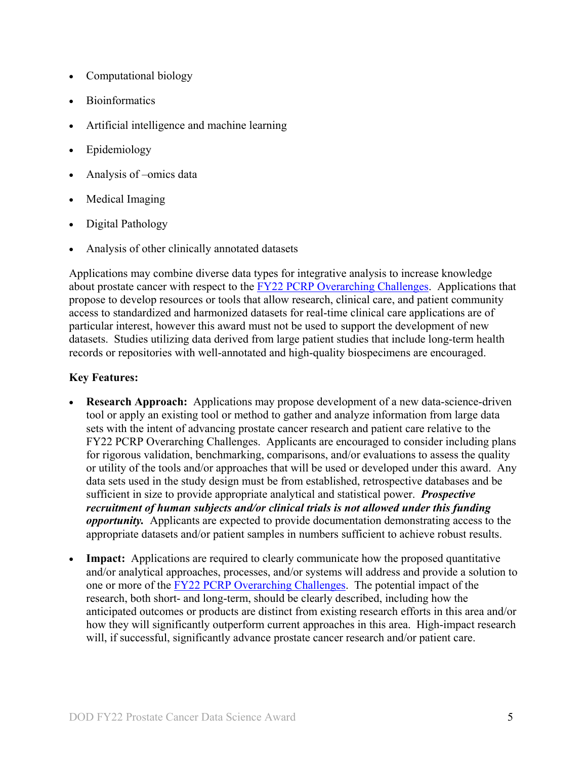- Computational biology
- **Bioinformatics**
- Artificial intelligence and machine learning
- Epidemiology
- Analysis of –omics data
- Medical Imaging
- Digital Pathology
- Analysis of other clinically annotated datasets

Applications may combine diverse data types for integrative analysis to increase knowledge about prostate cancer with respect to the [FY22 PCRP Overarching Challenges.](#page-2-2) Applications that propose to develop resources or tools that allow research, clinical care, and patient community access to standardized and harmonized datasets for real-time clinical care applications are of particular interest, however this award must not be used to support the development of new datasets. Studies utilizing data derived from large patient studies that include long-term health records or repositories with well-annotated and high-quality biospecimens are encouraged.

#### **Key Features:**

- **Research Approach:** Applications may propose development of a new data-science-driven tool or apply an existing tool or method to gather and analyze information from large data sets with the intent of advancing prostate cancer research and patient care relative to the FY22 PCRP Overarching Challenges. Applicants are encouraged to consider including plans for rigorous validation, benchmarking, comparisons, and/or evaluations to assess the quality or utility of the tools and/or approaches that will be used or developed under this award. Any data sets used in the study design must be from established, retrospective databases and be sufficient in size to provide appropriate analytical and statistical power. *Prospective recruitment of human subjects and/or clinical trials is not allowed under this funding opportunity.* Applicants are expected to provide documentation demonstrating access to the appropriate datasets and/or patient samples in numbers sufficient to achieve robust results.
- **Impact:** Applications are required to clearly communicate how the proposed quantitative and/or analytical approaches, processes, and/or systems will address and provide a solution to one or more of the [FY22 PCRP Overarching Challenges.](#page-2-2) The potential impact of the research, both short- and long-term, should be clearly described, including how the anticipated outcomes or products are distinct from existing research efforts in this area and/or how they will significantly outperform current approaches in this area. High-impact research will, if successful, significantly advance prostate cancer research and/or patient care.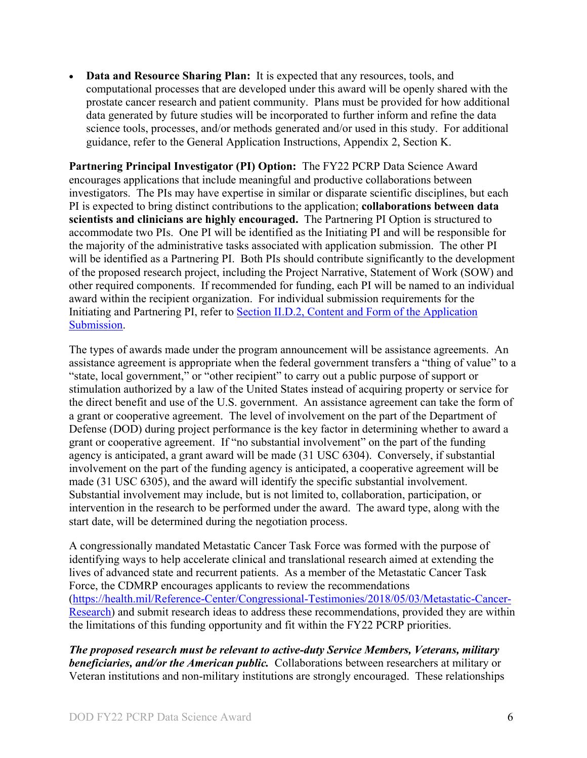• **Data and Resource Sharing Plan:** It is expected that any resources, tools, and computational processes that are developed under this award will be openly shared with the prostate cancer research and patient community. Plans must be provided for how additional data generated by future studies will be incorporated to further inform and refine the data science tools, processes, and/or methods generated and/or used in this study. For additional guidance, refer to the General Application Instructions, Appendix 2, Section K.

**Partnering Principal Investigator (PI) Option:** The FY22 PCRP Data Science Award encourages applications that include meaningful and productive collaborations between investigators. The PIs may have expertise in similar or disparate scientific disciplines, but each PI is expected to bring distinct contributions to the application; **collaborations between data scientists and clinicians are highly encouraged.** The Partnering PI Option is structured to accommodate two PIs. One PI will be identified as the Initiating PI and will be responsible for the majority of the administrative tasks associated with application submission. The other PI will be identified as a Partnering PI. Both PIs should contribute significantly to the development of the proposed research project, including the Project Narrative, Statement of Work (SOW) and other required components. If recommended for funding, each PI will be named to an individual award within the recipient organization. For individual submission requirements for the Initiating and Partnering PI, refer to Section [II.D.2, Content and Form of the Application](#page-9-0)  [Submission.](#page-9-0)

The types of awards made under the program announcement will be assistance agreements. An assistance agreement is appropriate when the federal government transfers a "thing of value" to a "state, local government," or "other recipient" to carry out a public purpose of support or stimulation authorized by a law of the United States instead of acquiring property or service for the direct benefit and use of the U.S. government. An assistance agreement can take the form of a grant or cooperative agreement. The level of involvement on the part of the Department of Defense (DOD) during project performance is the key factor in determining whether to award a grant or cooperative agreement. If "no substantial involvement" on the part of the funding agency is anticipated, a grant award will be made (31 USC 6304). Conversely, if substantial involvement on the part of the funding agency is anticipated, a cooperative agreement will be made (31 USC 6305), and the award will identify the specific substantial involvement. Substantial involvement may include, but is not limited to, collaboration, participation, or intervention in the research to be performed under the award. The award type, along with the start date, will be determined during the negotiation process.

A congressionally mandated Metastatic Cancer Task Force was formed with the purpose of identifying ways to help accelerate clinical and translational research aimed at extending the lives of advanced state and recurrent patients. As a member of the Metastatic Cancer Task Force, the CDMRP encourages applicants to review the recommendations [\(https://health.mil/Reference-Center/Congressional-Testimonies/2018/05/03/Metastatic-Cancer-](https://health.mil/Reference-Center/Congressional-Testimonies/2018/05/03/Metastatic-Cancer-Research)[Research\)](https://health.mil/Reference-Center/Congressional-Testimonies/2018/05/03/Metastatic-Cancer-Research) and submit research ideas to address these recommendations, provided they are within the limitations of this funding opportunity and fit within the FY22 PCRP priorities.

*The proposed research must be relevant to active-duty Service Members, Veterans, military beneficiaries, and/or the American public.* Collaborations between researchers at military or Veteran institutions and non-military institutions are strongly encouraged. These relationships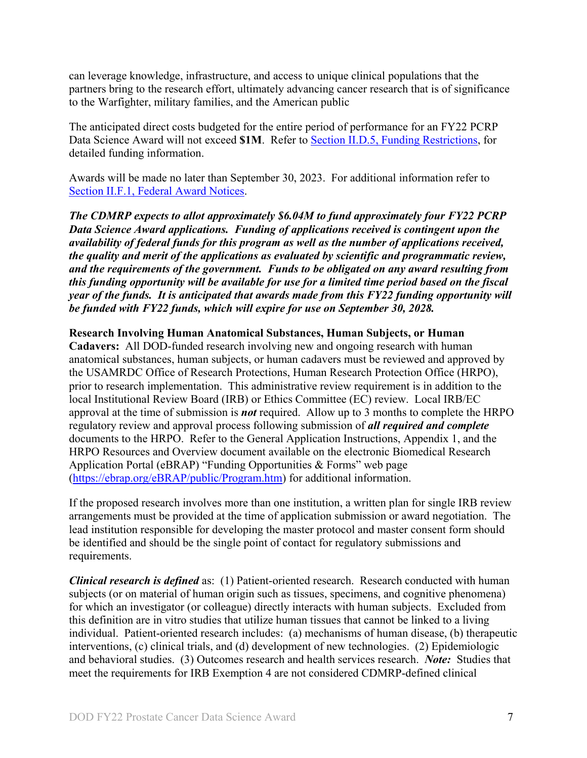can leverage knowledge, infrastructure, and access to unique clinical populations that the partners bring to the research effort, ultimately advancing cancer research that is of significance to the Warfighter, military families, and the American public

The anticipated direct costs budgeted for the entire period of performance for an FY22 PCRP Data Science Award will not exceed **\$1M**. Refer to Section [II.D.5, Funding Restrictions,](#page-26-0) for detailed funding information.

Awards will be made no later than September 30, 2023. For additional information refer to [Section II.F.1, Federal Award Notices.](#page-31-2)

*The CDMRP expects to allot approximately \$6.04M to fund approximately four FY22 PCRP Data Science Award applications. Funding of applications received is contingent upon the availability of federal funds for this program as well as the number of applications received, the quality and merit of the applications as evaluated by scientific and programmatic review, and the requirements of the government. Funds to be obligated on any award resulting from this funding opportunity will be available for use for a limited time period based on the fiscal year of the funds. It is anticipated that awards made from this FY22 funding opportunity will be funded with FY22 funds, which will expire for use on September 30, 2028.*

#### **Research Involving Human Anatomical Substances, Human Subjects, or Human**

**Cadavers:** All DOD-funded research involving new and ongoing research with human anatomical substances, human subjects, or human cadavers must be reviewed and approved by the USAMRDC Office of Research Protections, Human Research Protection Office (HRPO), prior to research implementation. This administrative review requirement is in addition to the local Institutional Review Board (IRB) or Ethics Committee (EC) review. Local IRB/EC approval at the time of submission is *not* required. Allow up to 3 months to complete the HRPO regulatory review and approval process following submission of *all required and complete* documents to the HRPO. Refer to the General Application Instructions, Appendix 1, and the HRPO Resources and Overview document available on the electronic Biomedical Research Application Portal (eBRAP) "Funding Opportunities & Forms" web page [\(https://ebrap.org/eBRAP/public/Program.htm\)](https://ebrap.org/eBRAP/public/Program.htm) for additional information.

If the proposed research involves more than one institution, a written plan for single IRB review arrangements must be provided at the time of application submission or award negotiation. The lead institution responsible for developing the master protocol and master consent form should be identified and should be the single point of contact for regulatory submissions and requirements.

<span id="page-6-0"></span>*Clinical research is defined* as: (1) Patient-oriented research. Research conducted with human subjects (or on material of human origin such as tissues, specimens, and cognitive phenomena) for which an investigator (or colleague) directly interacts with human subjects. Excluded from this definition are in vitro studies that utilize human tissues that cannot be linked to a living individual. Patient-oriented research includes: (a) mechanisms of human disease, (b) therapeutic interventions, (c) clinical trials, and (d) development of new technologies. (2) Epidemiologic and behavioral studies. (3) Outcomes research and health services research. *Note:* Studies that meet the requirements for IRB Exemption 4 are not considered CDMRP-defined clinical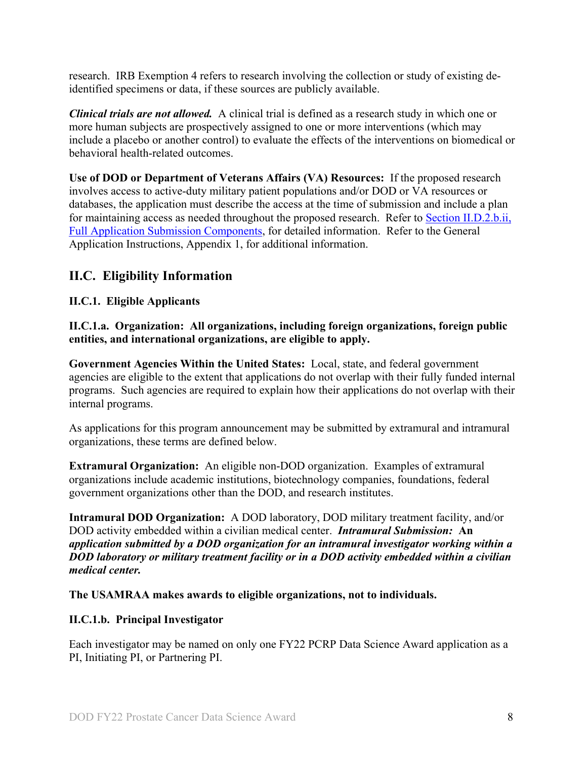research. IRB Exemption 4 refers to research involving the collection or study of existing deidentified specimens or data, if these sources are publicly available.

*Clinical trials are not allowed.* A clinical trial is defined as a research study in which one or more human subjects are prospectively assigned to one or more interventions (which may include a placebo or another control) to evaluate the effects of the interventions on biomedical or behavioral health-related outcomes.

**Use of DOD or Department of Veterans Affairs (VA) Resources:** If the proposed research involves access to active-duty military patient populations and/or DOD or VA resources or databases, the application must describe the access at the time of submission and include a plan for maintaining access as needed throughout the proposed research. Refer to Section [II.D.2.b.ii,](#page-14-0)  [Full Application Submission Components,](#page-14-0) for detailed information. Refer to the General Application Instructions, Appendix 1, for additional information.

## <span id="page-7-0"></span>**II.C. Eligibility Information**

### <span id="page-7-1"></span>**II.C.1. Eligible Applicants**

<span id="page-7-2"></span>**II.C.1.a. Organization: All organizations, including foreign organizations, foreign public entities, and international organizations, are eligible to apply.** 

**Government Agencies Within the United States:** Local, state, and federal government agencies are eligible to the extent that applications do not overlap with their fully funded internal programs. Such agencies are required to explain how their applications do not overlap with their internal programs.

As applications for this program announcement may be submitted by extramural and intramural organizations, these terms are defined below.

**Extramural Organization:** An eligible non-DOD organization. Examples of extramural organizations include academic institutions, biotechnology companies, foundations, federal government organizations other than the DOD, and research institutes.

**Intramural DOD Organization:** A DOD laboratory, DOD military treatment facility, and/or DOD activity embedded within a civilian medical center. *Intramural Submission:* **An**  *application submitted by a DOD organization for an intramural investigator working within a DOD laboratory or military treatment facility or in a DOD activity embedded within a civilian medical center.*

**The USAMRAA makes awards to eligible organizations, not to individuals.**

#### **II.C.1.b. Principal Investigator**

Each investigator may be named on only one FY22 PCRP Data Science Award application as a PI, Initiating PI, or Partnering PI.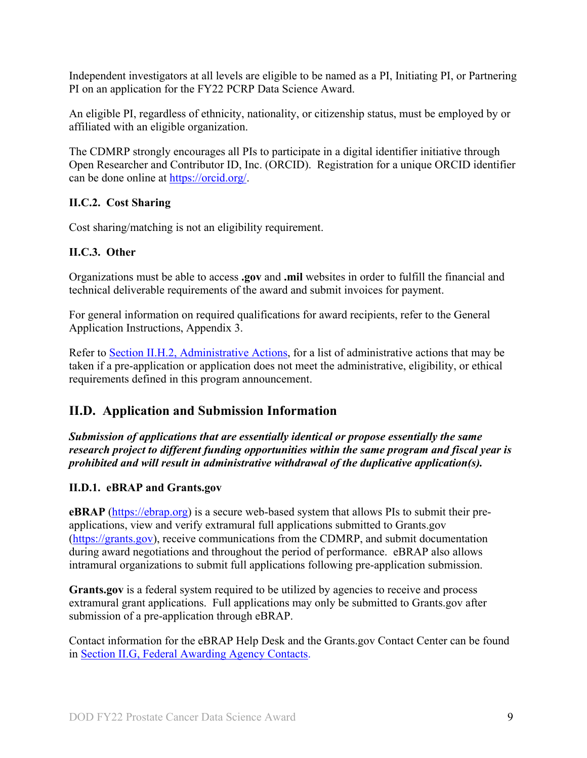Independent investigators at all levels are eligible to be named as a PI, Initiating PI, or Partnering PI on an application for the FY22 PCRP Data Science Award.

An eligible PI, regardless of ethnicity, nationality, or citizenship status, must be employed by or affiliated with an eligible organization.

The CDMRP strongly encourages all PIs to participate in a digital identifier initiative through Open Researcher and Contributor ID, Inc. (ORCID). Registration for a unique ORCID identifier can be done online at [https://orcid.org/.](https://orcid.org/)

### <span id="page-8-0"></span>**II.C.2. Cost Sharing**

Cost sharing/matching is not an eligibility requirement.

#### <span id="page-8-1"></span>**II.C.3. Other**

Organizations must be able to access **.gov** and **.mil** websites in order to fulfill the financial and technical deliverable requirements of the award and submit invoices for payment.

For general information on required qualifications for award recipients, refer to the General Application Instructions, Appendix 3.

Refer to [Section II.H.2, Administrative Actions,](#page-34-3) for a list of administrative actions that may be taken if a pre-application or application does not meet the administrative, eligibility, or ethical requirements defined in this program announcement.

## <span id="page-8-2"></span>**II.D. Application and Submission Information**

*Submission of applications that are essentially identical or propose essentially the same research project to different funding opportunities within the same program and fiscal year is prohibited and will result in administrative withdrawal of the duplicative application(s).*

## <span id="page-8-3"></span>**II.D.1. eBRAP and Grants.gov**

**eBRAP** [\(https://ebrap.org\)](https://ebrap.org/) is a secure web-based system that allows PIs to submit their preapplications, view and verify extramural full applications submitted to Grants.gov [\(https://grants.gov\)](https://grants.gov/), receive communications from the CDMRP, and submit documentation during award negotiations and throughout the period of performance. eBRAP also allows intramural organizations to submit full applications following pre-application submission.

Grants.gov is a federal system required to be utilized by agencies to receive and process extramural grant applications. Full applications may only be submitted to Grants.gov after submission of a pre-application through eBRAP.

Contact information for the eBRAP Help Desk and the Grants.gov Contact Center can be found in [Section II.G, Federal Awarding Agency Contacts.](#page-33-1)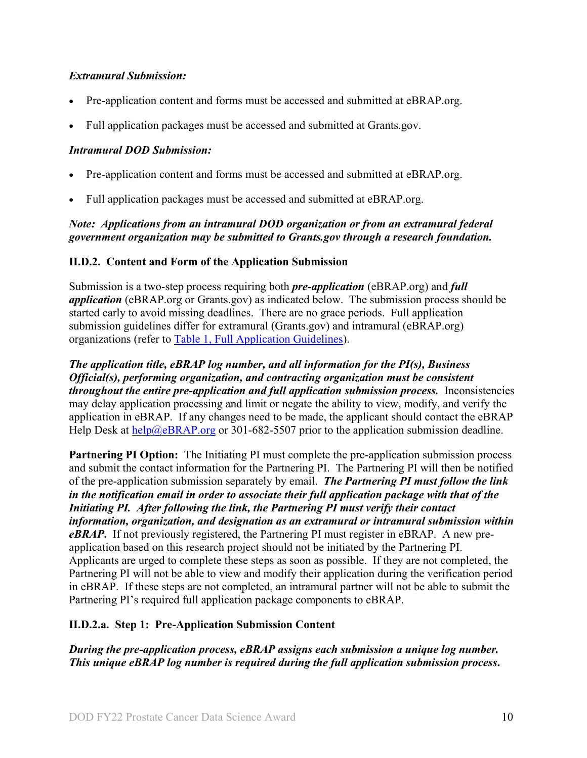#### *Extramural Submission:*

- Pre-application content and forms must be accessed and submitted at eBRAP.org.
- Full application packages must be accessed and submitted at Grants.gov.

### *Intramural DOD Submission:*

- Pre-application content and forms must be accessed and submitted at eBRAP.org.
- Full application packages must be accessed and submitted at eBRAP.org.

### *Note: Applications from an intramural DOD organization or from an extramural federal government organization may be submitted to Grants.gov through a research foundation.*

### <span id="page-9-0"></span>**II.D.2. Content and Form of the Application Submission**

Submission is a two-step process requiring both *pre-application* (eBRAP.org) and *full application* (eBRAP.org or Grants.gov) as indicated below. The submission process should be started early to avoid missing deadlines. There are no grace periods. Full application submission guidelines differ for extramural (Grants.gov) and intramural (eBRAP.org) organizations (refer to [Table 1, Full Application Guidelines\)](#page-12-0).

*The application title, eBRAP log number, and all information for the PI(s), Business Official(s), performing organization, and contracting organization must be consistent throughout the entire pre-application and full application submission process.* Inconsistencies may delay application processing and limit or negate the ability to view, modify, and verify the application in eBRAP. If any changes need to be made, the applicant should contact the eBRAP Help Desk at  $\frac{he}{p}$   $\frac{me}{p}$  BRAP.org or 301-682-5507 prior to the application submission deadline.

**Partnering PI Option:** The Initiating PI must complete the pre-application submission process and submit the contact information for the Partnering PI. The Partnering PI will then be notified of the pre-application submission separately by email. *The Partnering PI must follow the link in the notification email in order to associate their full application package with that of the Initiating PI. After following the link, the Partnering PI must verify their contact information, organization, and designation as an extramural or intramural submission within eBRAP***.** If not previously registered, the Partnering PI must register in eBRAP. A new preapplication based on this research project should not be initiated by the Partnering PI. Applicants are urged to complete these steps as soon as possible. If they are not completed, the Partnering PI will not be able to view and modify their application during the verification period in eBRAP. If these steps are not completed, an intramural partner will not be able to submit the Partnering PI's required full application package components to eBRAP.

## **II.D.2.a. Step 1: Pre-Application Submission Content**

*During the pre-application process, eBRAP assigns each submission a unique log number. This unique eBRAP log number is required during the full application submission process***.**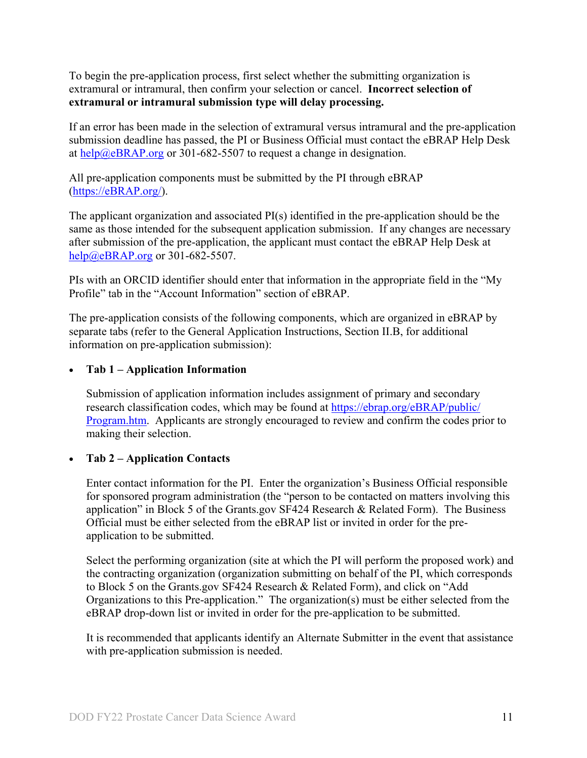To begin the pre-application process, first select whether the submitting organization is extramural or intramural, then confirm your selection or cancel. **Incorrect selection of extramural or intramural submission type will delay processing.**

If an error has been made in the selection of extramural versus intramural and the pre-application submission deadline has passed, the PI or Business Official must contact the eBRAP Help Desk at [help@eBRAP.org](mailto:help@eBRAP.org) or 301-682-5507 to request a change in designation.

All pre-application components must be submitted by the PI through eBRAP [\(https://eBRAP.org/\)](https://ebrap.org/).

The applicant organization and associated PI(s) identified in the pre-application should be the same as those intended for the subsequent application submission. If any changes are necessary after submission of the pre-application, the applicant must contact the eBRAP Help Desk at [help@eBRAP.org](mailto:help@eBRAP.org) or 301-682-5507.

PIs with an ORCID identifier should enter that information in the appropriate field in the "My Profile" tab in the "Account Information" section of eBRAP.

The pre-application consists of the following components, which are organized in eBRAP by separate tabs (refer to the General Application Instructions, Section II.B, for additional information on pre-application submission):

#### • **Tab 1 – Application Information**

Submission of application information includes assignment of primary and secondary research classification codes, which may be found at [https://ebrap.org/eBRAP/public/](https://ebrap.org/eBRAP/public/Program.htm) [Program.htm.](https://ebrap.org/eBRAP/public/Program.htm) Applicants are strongly encouraged to review and confirm the codes prior to making their selection.

#### • **Tab 2 – Application Contacts**

Enter contact information for the PI. Enter the organization's Business Official responsible for sponsored program administration (the "person to be contacted on matters involving this application" in Block 5 of the Grants.gov SF424 Research & Related Form). The Business Official must be either selected from the eBRAP list or invited in order for the preapplication to be submitted.

Select the performing organization (site at which the PI will perform the proposed work) and the contracting organization (organization submitting on behalf of the PI, which corresponds to Block 5 on the Grants.gov SF424 Research & Related Form), and click on "Add Organizations to this Pre-application." The organization(s) must be either selected from the eBRAP drop-down list or invited in order for the pre-application to be submitted.

It is recommended that applicants identify an Alternate Submitter in the event that assistance with pre-application submission is needed.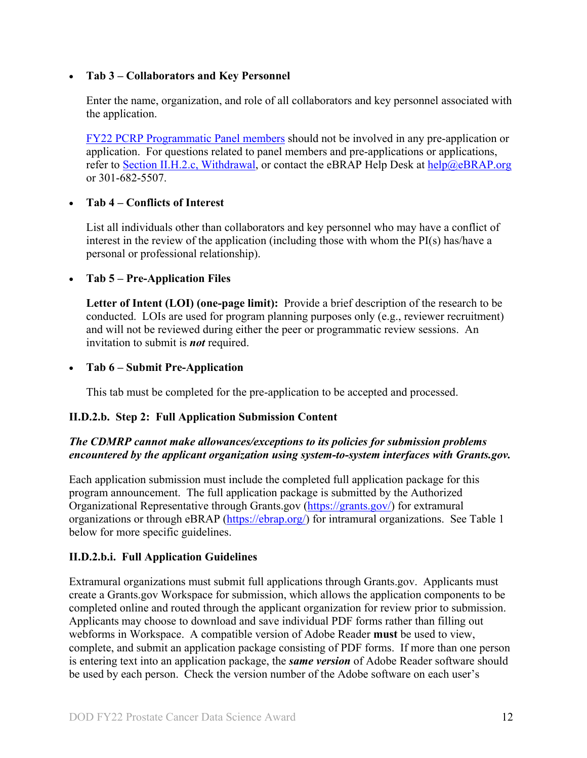#### • **Tab 3 – Collaborators and Key Personnel**

Enter the name, organization, and role of all collaborators and key personnel associated with the application.

[FY22 PCRP Programmatic Panel members](https://cdmrp.army.mil/pcrp/panels/panel22) should not be involved in any pre-application or application. For questions related to panel members and pre-applications or applications, refer to [Section II.H.2.c, Withdrawal,](#page-35-0) or contact the eBRAP Help Desk at [help@eBRAP.org](mailto:help@eBRAP.org) or 301-682-5507.

#### • **Tab 4 – Conflicts of Interest**

List all individuals other than collaborators and key personnel who may have a conflict of interest in the review of the application (including those with whom the PI(s) has/have a personal or professional relationship).

#### • **Tab 5 – Pre-Application Files**

**Letter of Intent (LOI) (one-page limit):** Provide a brief description of the research to be conducted. LOIs are used for program planning purposes only (e.g., reviewer recruitment) and will not be reviewed during either the peer or programmatic review sessions. An invitation to submit is *not* required.

#### • **Tab 6 – Submit Pre-Application**

This tab must be completed for the pre-application to be accepted and processed.

#### **II.D.2.b. Step 2: Full Application Submission Content**

#### *The CDMRP cannot make allowances/exceptions to its policies for submission problems encountered by the applicant organization using system-to-system interfaces with Grants.gov.*

Each application submission must include the completed full application package for this program announcement. The full application package is submitted by the Authorized Organizational Representative through Grants.gov [\(https://grants.gov/\)](https://www.grants.gov/) for extramural organizations or through eBRAP [\(https://ebrap.org/\)](https://ebrap.org/) for intramural organizations. See Table 1 below for more specific guidelines.

#### **II.D.2.b.i. Full Application Guidelines**

Extramural organizations must submit full applications through Grants.gov. Applicants must create a Grants.gov Workspace for submission, which allows the application components to be completed online and routed through the applicant organization for review prior to submission. Applicants may choose to download and save individual PDF forms rather than filling out webforms in Workspace. A compatible version of Adobe Reader **must** be used to view, complete, and submit an application package consisting of PDF forms. If more than one person is entering text into an application package, the *same version* of Adobe Reader software should be used by each person. Check the version number of the Adobe software on each user's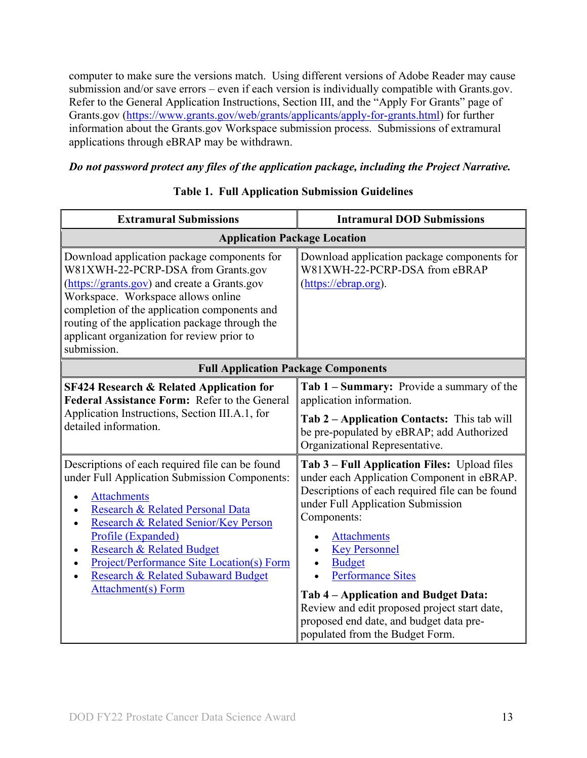computer to make sure the versions match. Using different versions of Adobe Reader may cause submission and/or save errors – even if each version is individually compatible with Grants.gov. Refer to the General Application Instructions, Section III, and the "Apply For Grants" page of Grants.gov [\(https://www.grants.gov/web/grants/applicants/apply-for-grants.html\)](https://www.grants.gov/web/grants/applicants/apply-for-grants.html) for further information about the Grants.gov Workspace submission process. Submissions of extramural applications through eBRAP may be withdrawn.

#### *Do not password protect any files of the application package, including the Project Narrative.*

<span id="page-12-0"></span>

| <b>Extramural Submissions</b>                                                                                                                                                                                                                                                                                                                                                                 | <b>Intramural DOD Submissions</b>                                                                                                                                                                                                                                                                                                                                                                                                                                  |  |
|-----------------------------------------------------------------------------------------------------------------------------------------------------------------------------------------------------------------------------------------------------------------------------------------------------------------------------------------------------------------------------------------------|--------------------------------------------------------------------------------------------------------------------------------------------------------------------------------------------------------------------------------------------------------------------------------------------------------------------------------------------------------------------------------------------------------------------------------------------------------------------|--|
| <b>Application Package Location</b>                                                                                                                                                                                                                                                                                                                                                           |                                                                                                                                                                                                                                                                                                                                                                                                                                                                    |  |
| Download application package components for<br>W81XWH-22-PCRP-DSA from Grants.gov<br>(https://grants.gov) and create a Grants.gov<br>Workspace. Workspace allows online<br>completion of the application components and<br>routing of the application package through the<br>applicant organization for review prior to<br>submission.                                                        | Download application package components for<br>W81XWH-22-PCRP-DSA from eBRAP<br>(https://ebrap.org).                                                                                                                                                                                                                                                                                                                                                               |  |
| <b>Full Application Package Components</b>                                                                                                                                                                                                                                                                                                                                                    |                                                                                                                                                                                                                                                                                                                                                                                                                                                                    |  |
| <b>SF424 Research &amp; Related Application for</b><br>Federal Assistance Form: Refer to the General<br>Application Instructions, Section III.A.1, for<br>detailed information.                                                                                                                                                                                                               | Tab 1 – Summary: Provide a summary of the<br>application information.<br><b>Tab 2 – Application Contacts:</b> This tab will<br>be pre-populated by eBRAP; add Authorized<br>Organizational Representative.                                                                                                                                                                                                                                                         |  |
| Descriptions of each required file can be found<br>under Full Application Submission Components:<br><b>Attachments</b><br>Research & Related Personal Data<br>Research & Related Senior/Key Person<br>$\bullet$<br>Profile (Expanded)<br><b>Research &amp; Related Budget</b><br>Project/Performance Site Location(s) Form<br>Research & Related Subaward Budget<br><b>Attachment(s) Form</b> | Tab 3 – Full Application Files: Upload files<br>under each Application Component in eBRAP.<br>Descriptions of each required file can be found<br>under Full Application Submission<br>Components:<br><b>Attachments</b><br><b>Key Personnel</b><br><b>Budget</b><br><b>Performance Sites</b><br>Tab 4 – Application and Budget Data:<br>Review and edit proposed project start date,<br>proposed end date, and budget data pre-<br>populated from the Budget Form. |  |

#### **Table 1. Full Application Submission Guidelines**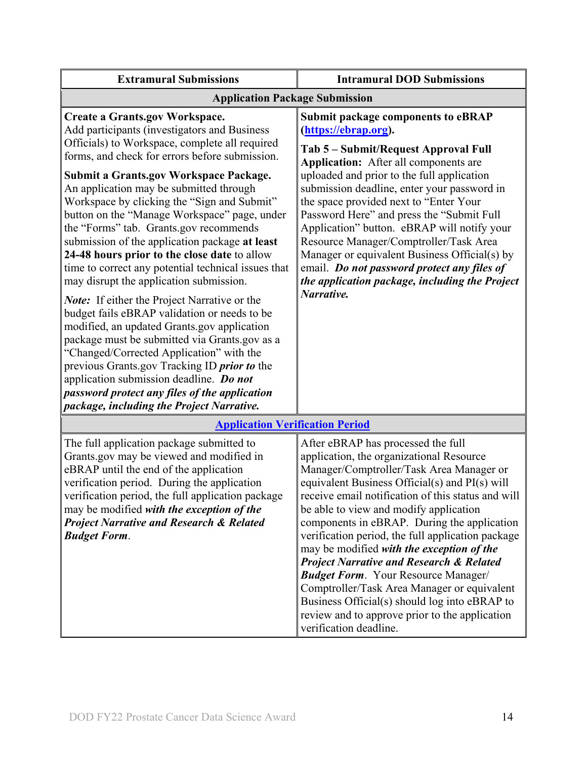| <b>Extramural Submissions</b>                                                                                                                                                                                                                                                                                                                                                                                                                                                                                                                                                                                                                                                                                                                                                                                                                                                                                                                                                                                                                                                         | <b>Intramural DOD Submissions</b>                                                                                                                                                                                                                                                                                                                                                                                                                                                                                                                                                               |  |
|---------------------------------------------------------------------------------------------------------------------------------------------------------------------------------------------------------------------------------------------------------------------------------------------------------------------------------------------------------------------------------------------------------------------------------------------------------------------------------------------------------------------------------------------------------------------------------------------------------------------------------------------------------------------------------------------------------------------------------------------------------------------------------------------------------------------------------------------------------------------------------------------------------------------------------------------------------------------------------------------------------------------------------------------------------------------------------------|-------------------------------------------------------------------------------------------------------------------------------------------------------------------------------------------------------------------------------------------------------------------------------------------------------------------------------------------------------------------------------------------------------------------------------------------------------------------------------------------------------------------------------------------------------------------------------------------------|--|
| <b>Application Package Submission</b>                                                                                                                                                                                                                                                                                                                                                                                                                                                                                                                                                                                                                                                                                                                                                                                                                                                                                                                                                                                                                                                 |                                                                                                                                                                                                                                                                                                                                                                                                                                                                                                                                                                                                 |  |
| <b>Create a Grants.gov Workspace.</b><br>Add participants (investigators and Business<br>Officials) to Workspace, complete all required<br>forms, and check for errors before submission.<br><b>Submit a Grants.gov Workspace Package.</b><br>An application may be submitted through<br>Workspace by clicking the "Sign and Submit"<br>button on the "Manage Workspace" page, under<br>the "Forms" tab. Grants.gov recommends<br>submission of the application package at least<br>24-48 hours prior to the close date to allow<br>time to correct any potential technical issues that<br>may disrupt the application submission.<br><b>Note:</b> If either the Project Narrative or the<br>budget fails eBRAP validation or needs to be<br>modified, an updated Grants.gov application<br>package must be submitted via Grants.gov as a<br>"Changed/Corrected Application" with the<br>previous Grants.gov Tracking ID <i>prior to</i> the<br>application submission deadline. Do not<br>password protect any files of the application<br>package, including the Project Narrative. | <b>Submit package components to eBRAP</b><br>(https://ebrap.org).<br>Tab 5 – Submit/Request Approval Full<br>Application: After all components are<br>uploaded and prior to the full application<br>submission deadline, enter your password in<br>the space provided next to "Enter Your<br>Password Here" and press the "Submit Full<br>Application" button. eBRAP will notify your<br>Resource Manager/Comptroller/Task Area<br>Manager or equivalent Business Official(s) by<br>email. Do not password protect any files of<br>the application package, including the Project<br>Narrative. |  |
| <b>Application Verification Period</b>                                                                                                                                                                                                                                                                                                                                                                                                                                                                                                                                                                                                                                                                                                                                                                                                                                                                                                                                                                                                                                                |                                                                                                                                                                                                                                                                                                                                                                                                                                                                                                                                                                                                 |  |
| The full application package submitted to<br>Grants.gov may be viewed and modified in<br>eBRAP until the end of the application<br>verification period. During the application<br>verification period, the full application package<br>may be modified with the exception of the                                                                                                                                                                                                                                                                                                                                                                                                                                                                                                                                                                                                                                                                                                                                                                                                      | After eBRAP has processed the full<br>application, the organizational Resource<br>Manager/Comptroller/Task Area Manager or<br>equivalent Business Official(s) and PI(s) will<br>receive email notification of this status and will<br>be able to view and modify application                                                                                                                                                                                                                                                                                                                    |  |

may be modified *with the exception of the Project Narrative and Research & Related Budget Form*.

be able to view and modify application components in eBRAP. During the application verification period, the full application package may be modified *with the exception of the Project Narrative and Research & Related Budget Form*. Your Resource Manager/ Comptroller/Task Area Manager or equivalent Business Official(s) should log into eBRAP to review and to approve prior to the application verification deadline.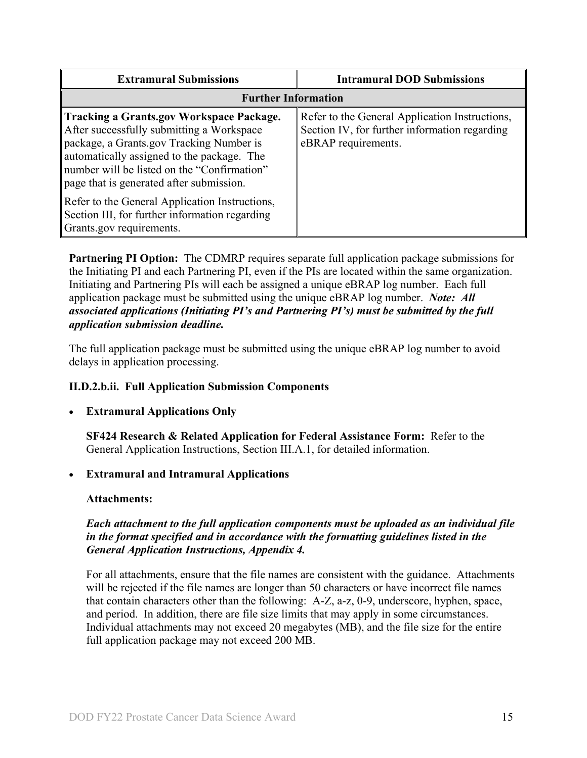| <b>Extramural Submissions</b>                                                                                                                                                                                                                                                     | <b>Intramural DOD Submissions</b>                                                                                      |
|-----------------------------------------------------------------------------------------------------------------------------------------------------------------------------------------------------------------------------------------------------------------------------------|------------------------------------------------------------------------------------------------------------------------|
| <b>Further Information</b>                                                                                                                                                                                                                                                        |                                                                                                                        |
| <b>Tracking a Grants.gov Workspace Package.</b><br>After successfully submitting a Workspace<br>package, a Grants.gov Tracking Number is<br>automatically assigned to the package. The<br>number will be listed on the "Confirmation"<br>page that is generated after submission. | Refer to the General Application Instructions,<br>Section IV, for further information regarding<br>eBRAP requirements. |
| Refer to the General Application Instructions,<br>Section III, for further information regarding<br>Grants.gov requirements.                                                                                                                                                      |                                                                                                                        |

**Partnering PI Option:** The CDMRP requires separate full application package submissions for the Initiating PI and each Partnering PI, even if the PIs are located within the same organization. Initiating and Partnering PIs will each be assigned a unique eBRAP log number. Each full application package must be submitted using the unique eBRAP log number. *Note: All associated applications (Initiating PI's and Partnering PI's) must be submitted by the full application submission deadline.*

The full application package must be submitted using the unique eBRAP log number to avoid delays in application processing.

#### <span id="page-14-0"></span>**II.D.2.b.ii. Full Application Submission Components**

#### **Extramural Applications Only**

**SF424 Research & Related Application for Federal Assistance Form:** Refer to the General Application Instructions, Section III.A.1, for detailed information.

#### • **Extramural and Intramural Applications**

#### <span id="page-14-1"></span>**Attachments:**

#### *Each attachment to the full application components must be uploaded as an individual file in the format specified and in accordance with the formatting guidelines listed in the General Application Instructions, Appendix 4.*

For all attachments, ensure that the file names are consistent with the guidance. Attachments will be rejected if the file names are longer than 50 characters or have incorrect file names that contain characters other than the following: A-Z, a-z, 0-9, underscore, hyphen, space, and period. In addition, there are file size limits that may apply in some circumstances. Individual attachments may not exceed 20 megabytes (MB), and the file size for the entire full application package may not exceed 200 MB.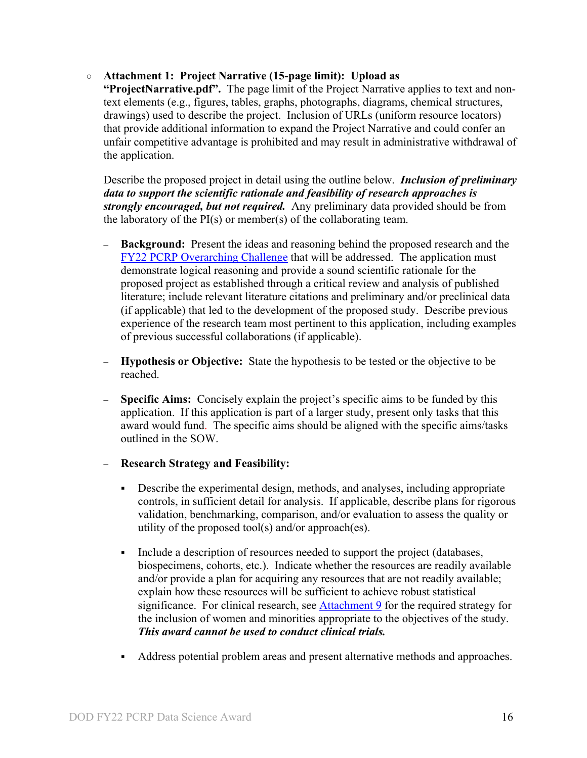#### ○ **Attachment 1: Project Narrative (15-page limit): Upload as**

**"ProjectNarrative.pdf".** The page limit of the Project Narrative applies to text and nontext elements (e.g., figures, tables, graphs, photographs, diagrams, chemical structures, drawings) used to describe the project. Inclusion of URLs (uniform resource locators) that provide additional information to expand the Project Narrative and could confer an unfair competitive advantage is prohibited and may result in administrative withdrawal of the application.

Describe the proposed project in detail using the outline below. *Inclusion of preliminary data to support the scientific rationale and feasibility of research approaches is strongly encouraged, but not required.* Any preliminary data provided should be from the laboratory of the PI(s) or member(s) of the collaborating team.

- **Background:** Present the ideas and reasoning behind the proposed research and the [FY22 PCRP Overarching Challenge](#page-2-2) that will be addressed. The application must demonstrate logical reasoning and provide a sound scientific rationale for the proposed project as established through a critical review and analysis of published literature; include relevant literature citations and preliminary and/or preclinical data (if applicable) that led to the development of the proposed study. Describe previous experience of the research team most pertinent to this application, including examples of previous successful collaborations (if applicable).
- **Hypothesis or Objective:** State the hypothesis to be tested or the objective to be reached.
- **Specific Aims:** Concisely explain the project's specific aims to be funded by this application. If this application is part of a larger study, present only tasks that this award would fund. The specific aims should be aligned with the specific aims/tasks outlined in the SOW.

#### – **Research Strategy and Feasibility:**

- Describe the experimental design, methods, and analyses, including appropriate controls, in sufficient detail for analysis. If applicable, describe plans for rigorous validation, benchmarking, comparison, and/or evaluation to assess the quality or utility of the proposed tool(s) and/or approach(es).
- Include a description of resources needed to support the project (databases, biospecimens, cohorts, etc.). Indicate whether the resources are readily available and/or provide a plan for acquiring any resources that are not readily available; explain how these resources will be sufficient to achieve robust statistical significance. For clinical research, see [Attachment 9](#page-20-0) for the required strategy for the inclusion of women and minorities appropriate to the objectives of the study. *This award cannot be used to conduct clinical trials.*
- Address potential problem areas and present alternative methods and approaches.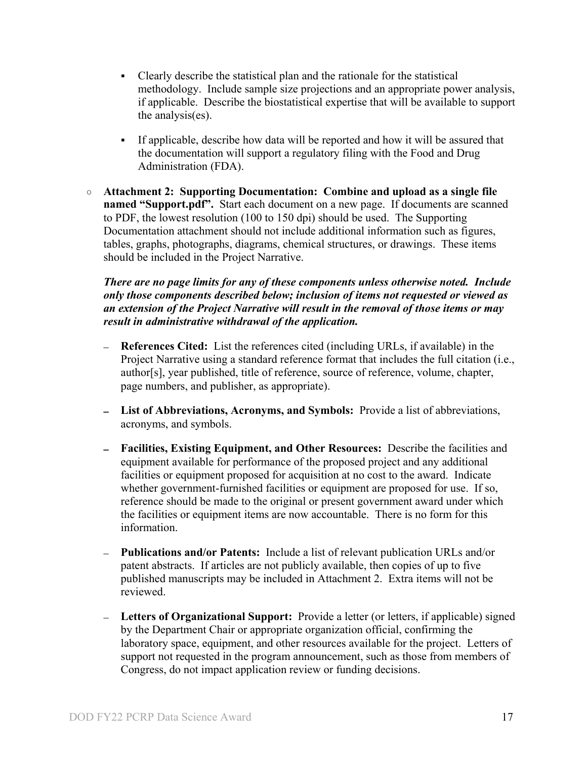- Clearly describe the statistical plan and the rationale for the statistical methodology. Include sample size projections and an appropriate power analysis, if applicable. Describe the biostatistical expertise that will be available to support the analysis(es).
- If applicable, describe how data will be reported and how it will be assured that the documentation will support a regulatory filing with the Food and Drug Administration (FDA).
- **Attachment 2: Supporting Documentation: Combine and upload as a single file named "Support.pdf".** Start each document on a new page. If documents are scanned to PDF, the lowest resolution (100 to 150 dpi) should be used. The Supporting Documentation attachment should not include additional information such as figures, tables, graphs, photographs, diagrams, chemical structures, or drawings. These items should be included in the Project Narrative.

*There are no page limits for any of these components unless otherwise noted. Include only those components described below; inclusion of items not requested or viewed as an extension of the Project Narrative will result in the removal of those items or may result in administrative withdrawal of the application.*

- **References Cited:** List the references cited (including URLs, if available) in the Project Narrative using a standard reference format that includes the full citation (i.e., author[s], year published, title of reference, source of reference, volume, chapter, page numbers, and publisher, as appropriate).
- **List of Abbreviations, Acronyms, and Symbols:** Provide a list of abbreviations, acronyms, and symbols.
- **Facilities, Existing Equipment, and Other Resources:** Describe the facilities and equipment available for performance of the proposed project and any additional facilities or equipment proposed for acquisition at no cost to the award. Indicate whether government-furnished facilities or equipment are proposed for use. If so, reference should be made to the original or present government award under which the facilities or equipment items are now accountable. There is no form for this information.
- **Publications and/or Patents:** Include a list of relevant publication URLs and/or patent abstracts. If articles are not publicly available, then copies of up to five published manuscripts may be included in Attachment 2. Extra items will not be reviewed.
- **Letters of Organizational Support:** Provide a letter (or letters, if applicable) signed by the Department Chair or appropriate organization official, confirming the laboratory space, equipment, and other resources available for the project. Letters of support not requested in the program announcement, such as those from members of Congress, do not impact application review or funding decisions.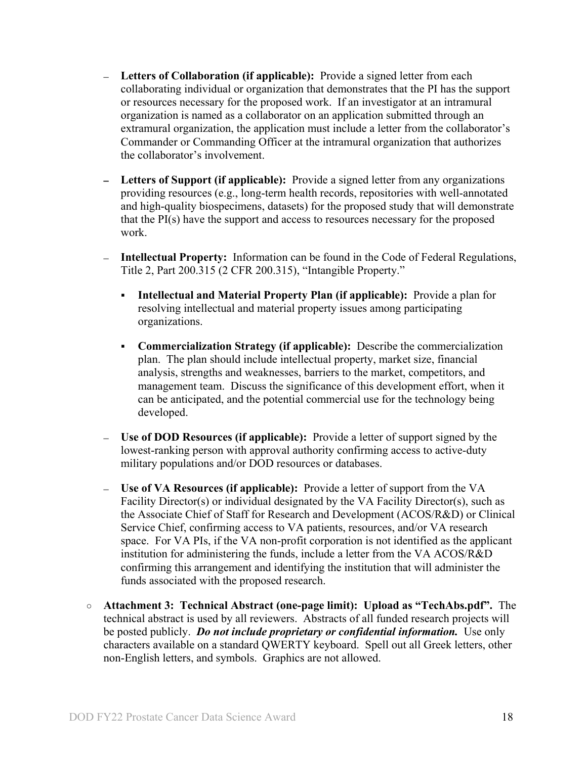- **Letters of Collaboration (if applicable):** Provide a signed letter from each collaborating individual or organization that demonstrates that the PI has the support or resources necessary for the proposed work. If an investigator at an intramural organization is named as a collaborator on an application submitted through an extramural organization, the application must include a letter from the collaborator's Commander or Commanding Officer at the intramural organization that authorizes the collaborator's involvement.
- **Letters of Support (if applicable):** Provide a signed letter from any organizations providing resources (e.g., long-term health records, repositories with well-annotated and high-quality biospecimens, datasets) for the proposed study that will demonstrate that the PI(s) have the support and access to resources necessary for the proposed work.
- **Intellectual Property:** Information can be found in the Code of Federal Regulations, Title 2, Part 200.315 (2 CFR 200.315), "Intangible Property."
	- **Intellectual and Material Property Plan (if applicable):** Provide a plan for resolving intellectual and material property issues among participating organizations.
	- **Commercialization Strategy (if applicable):** Describe the commercialization plan. The plan should include intellectual property, market size, financial analysis, strengths and weaknesses, barriers to the market, competitors, and management team. Discuss the significance of this development effort, when it can be anticipated, and the potential commercial use for the technology being developed.
- **Use of DOD Resources (if applicable):** Provide a letter of support signed by the lowest-ranking person with approval authority confirming access to active-duty military populations and/or DOD resources or databases.
- **Use of VA Resources (if applicable):** Provide a letter of support from the VA Facility Director(s) or individual designated by the VA Facility Director(s), such as the Associate Chief of Staff for Research and Development (ACOS/R&D) or Clinical Service Chief, confirming access to VA patients, resources, and/or VA research space. For VA PIs, if the VA non-profit corporation is not identified as the applicant institution for administering the funds, include a letter from the VA ACOS/R&D confirming this arrangement and identifying the institution that will administer the funds associated with the proposed research.
- **Attachment 3: Technical Abstract (one-page limit): Upload as "TechAbs.pdf".** The technical abstract is used by all reviewers. Abstracts of all funded research projects will be posted publicly. *Do not include proprietary or confidential information.* Use only characters available on a standard QWERTY keyboard. Spell out all Greek letters, other non-English letters, and symbols. Graphics are not allowed.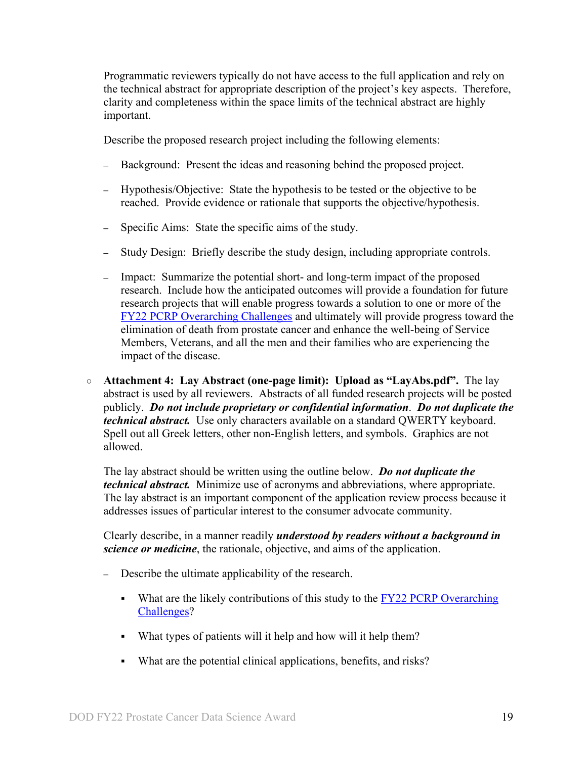Programmatic reviewers typically do not have access to the full application and rely on the technical abstract for appropriate description of the project's key aspects. Therefore, clarity and completeness within the space limits of the technical abstract are highly important.

Describe the proposed research project including the following elements:

- **–** Background: Present the ideas and reasoning behind the proposed project.
- **–** Hypothesis/Objective: State the hypothesis to be tested or the objective to be reached. Provide evidence or rationale that supports the objective/hypothesis.
- **–** Specific Aims: State the specific aims of the study.
- **–** Study Design: Briefly describe the study design, including appropriate controls.
- **–** Impact: Summarize the potential short- and long-term impact of the proposed research. Include how the anticipated outcomes will provide a foundation for future research projects that will enable progress towards a solution to one or more of the [FY22 PCRP Overarching Challenges](#page-2-2) and ultimately will provide progress toward the elimination of death from prostate cancer and enhance the well-being of Service Members, Veterans, and all the men and their families who are experiencing the impact of the disease.
- **Attachment 4: Lay Abstract (one-page limit): Upload as "LayAbs.pdf".** The lay abstract is used by all reviewers. Abstracts of all funded research projects will be posted publicly. *Do not include proprietary or confidential information*. *Do not duplicate the technical abstract.* Use only characters available on a standard QWERTY keyboard. Spell out all Greek letters, other non-English letters, and symbols. Graphics are not allowed.

The lay abstract should be written using the outline below. *Do not duplicate the technical abstract.* Minimize use of acronyms and abbreviations, where appropriate. The lay abstract is an important component of the application review process because it addresses issues of particular interest to the consumer advocate community.

Clearly describe, in a manner readily *understood by readers without a background in science or medicine*, the rationale, objective, and aims of the application.

- **–** Describe the ultimate applicability of the research.
	- What are the likely contributions of this study to the  $\frac{FY}{22}$  PCRP Overarching [Challenges?](#page-2-2)
	- What types of patients will it help and how will it help them?
	- What are the potential clinical applications, benefits, and risks?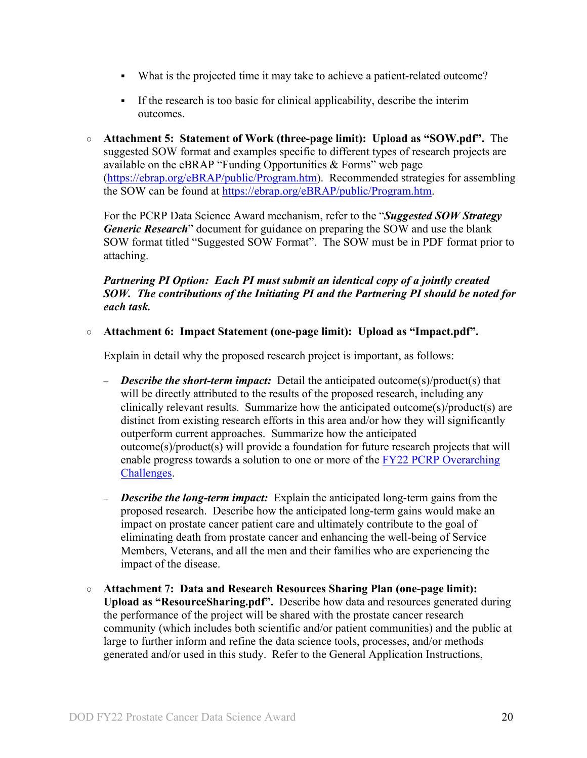- What is the projected time it may take to achieve a patient-related outcome?
- If the research is too basic for clinical applicability, describe the interim outcomes.
- **Attachment 5: Statement of Work (three-page limit): Upload as "SOW.pdf".** The suggested SOW format and examples specific to different types of research projects are available on the eBRAP "Funding Opportunities & Forms" web page [\(https://ebrap.org/eBRAP/public/Program.htm\)](https://ebrap.org/eBRAP/public/Program.htm). Recommended strategies for assembling the SOW can be found at [https://ebrap.org/eBRAP/public/Program.htm.](https://ebrap.org/eBRAP/public/Program.htm)

For the PCRP Data Science Award mechanism, refer to the "*Suggested SOW Strategy Generic Research*" document for guidance on preparing the SOW and use the blank SOW format titled "Suggested SOW Format". The SOW must be in PDF format prior to attaching.

### *Partnering PI Option: Each PI must submit an identical copy of a jointly created SOW. The contributions of the Initiating PI and the Partnering PI should be noted for each task.*

○ **Attachment 6: Impact Statement (one-page limit): Upload as "Impact.pdf".** 

Explain in detail why the proposed research project is important, as follows:

- **–** *Describe the short-term impact:* Detail the anticipated outcome(s)/product(s) that will be directly attributed to the results of the proposed research, including any clinically relevant results. Summarize how the anticipated outcome(s)/product(s) are distinct from existing research efforts in this area and/or how they will significantly outperform current approaches. Summarize how the anticipated outcome(s)/product(s) will provide a foundation for future research projects that will enable progress towards a solution to one or more of the [FY22 PCRP Overarching](#page-2-2)  [Challenges.](#page-2-2)
- **–** *Describe the long-term impact:* Explain the anticipated long-term gains from the proposed research. Describe how the anticipated long-term gains would make an impact on prostate cancer patient care and ultimately contribute to the goal of eliminating death from prostate cancer and enhancing the well-being of Service Members, Veterans, and all the men and their families who are experiencing the impact of the disease.
- **Attachment 7: Data and Research Resources Sharing Plan (one-page limit): Upload as "ResourceSharing.pdf".** Describe how data and resources generated during the performance of the project will be shared with the prostate cancer research community (which includes both scientific and/or patient communities) and the public at large to further inform and refine the data science tools, processes, and/or methods generated and/or used in this study. Refer to the General Application Instructions,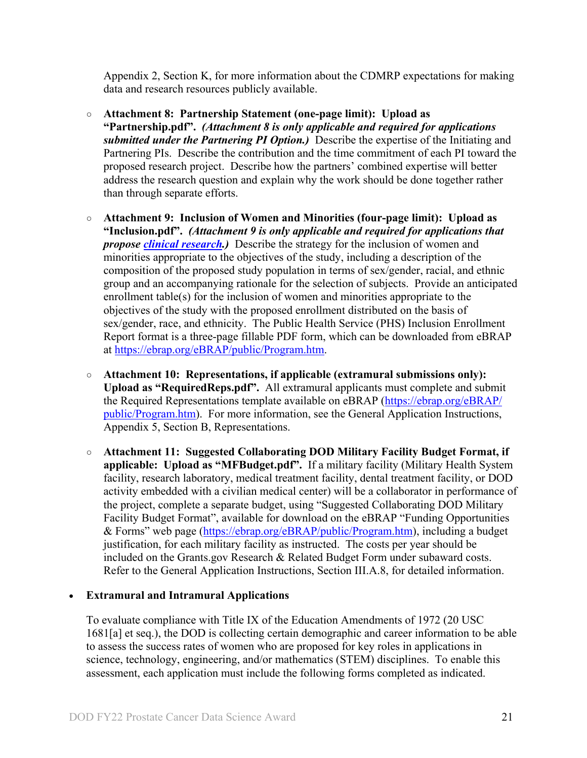Appendix 2, Section K, for more information about the CDMRP expectations for making data and research resources publicly available.

- **Attachment 8: Partnership Statement (one-page limit): Upload as "Partnership.pdf".** *(Attachment 8 is only applicable and required for applications submitted under the Partnering PI Option.)* Describe the expertise of the Initiating and Partnering PIs. Describe the contribution and the time commitment of each PI toward the proposed research project. Describe how the partners' combined expertise will better address the research question and explain why the work should be done together rather than through separate efforts.
- <span id="page-20-0"></span>○ **Attachment 9: Inclusion of Women and Minorities (four-page limit): Upload as "Inclusion.pdf".** *(Attachment 9 is only applicable and required for applications that propose [clinical research.](#page-6-0))* Describe the strategy for the inclusion of women and minorities appropriate to the objectives of the study, including a description of the composition of the proposed study population in terms of sex/gender, racial, and ethnic group and an accompanying rationale for the selection of subjects. Provide an anticipated enrollment table(s) for the inclusion of women and minorities appropriate to the objectives of the study with the proposed enrollment distributed on the basis of sex/gender, race, and ethnicity. The Public Health Service (PHS) Inclusion Enrollment Report format is a three-page fillable PDF form, which can be downloaded from eBRAP at [https://ebrap.org/eBRAP/public/Program.htm.](https://ebrap.org/eBRAP/public/Program.htm)
- **Attachment 10: Representations, if applicable (extramural submissions only): Upload as "RequiredReps.pdf".** All extramural applicants must complete and submit the Required Representations template available on eBRAP [\(https://ebrap.org/eBRAP/](https://ebrap.org/eBRAP/public/Program.htm) [public/Program.htm\)](https://ebrap.org/eBRAP/public/Program.htm). For more information, see the General Application Instructions, Appendix 5, Section B, Representations.
- <span id="page-20-1"></span>○ **Attachment 11: Suggested Collaborating DOD Military Facility Budget Format, if applicable: Upload as "MFBudget.pdf".** If a military facility (Military Health System facility, research laboratory, medical treatment facility, dental treatment facility, or DOD activity embedded with a civilian medical center) will be a collaborator in performance of the project, complete a separate budget, using "Suggested Collaborating DOD Military Facility Budget Format", available for download on the eBRAP "Funding Opportunities & Forms" web page [\(https://ebrap.org/eBRAP/public/Program.htm\)](https://ebrap.org/eBRAP/public/Program.htm), including a budget justification, for each military facility as instructed. The costs per year should be included on the Grants.gov Research & Related Budget Form under subaward costs. Refer to the General Application Instructions, Section III.A.8, for detailed information.

#### • **Extramural and Intramural Applications**

To evaluate compliance with Title IX of the Education Amendments of 1972 (20 USC 1681[a] et seq.), the DOD is collecting certain demographic and career information to be able to assess the success rates of women who are proposed for key roles in applications in science, technology, engineering, and/or mathematics (STEM) disciplines. To enable this assessment, each application must include the following forms completed as indicated.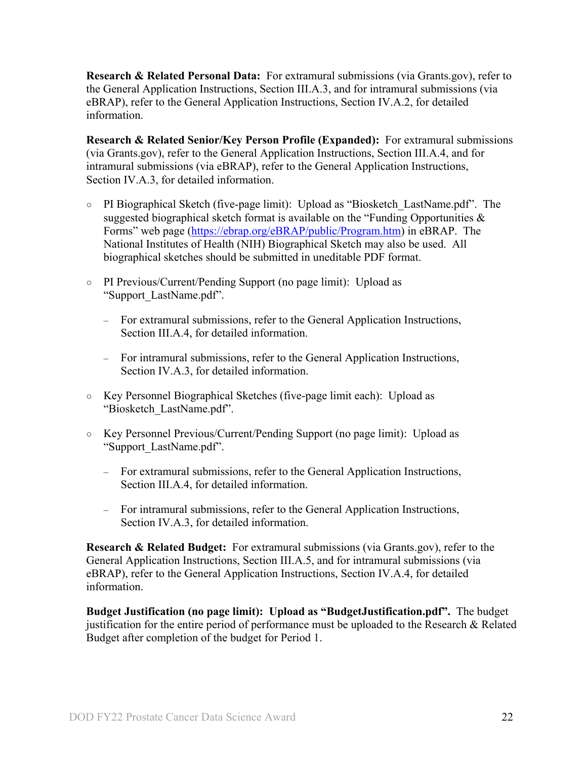<span id="page-21-0"></span>**Research & Related Personal Data:** For extramural submissions (via Grants.gov), refer to the General Application Instructions, Section III.A.3, and for intramural submissions (via eBRAP), refer to the General Application Instructions, Section IV.A.2, for detailed information.

<span id="page-21-1"></span>**Research & Related Senior/Key Person Profile (Expanded):** For extramural submissions (via Grants.gov), refer to the General Application Instructions, Section III.A.4, and for intramural submissions (via eBRAP), refer to the General Application Instructions, Section IV.A.3, for detailed information.

- PI Biographical Sketch (five-page limit): Upload as "Biosketch\_LastName.pdf". The suggested biographical sketch format is available on the "Funding Opportunities & Forms" web page [\(https://ebrap.org/eBRAP/public/Program.htm\)](https://ebrap.org/eBRAP/public/Program.htm) in eBRAP. The National Institutes of Health (NIH) Biographical Sketch may also be used. All biographical sketches should be submitted in uneditable PDF format.
- PI Previous/Current/Pending Support (no page limit): Upload as "Support\_LastName.pdf".
	- For extramural submissions, refer to the General Application Instructions, Section III.A.4, for detailed information.
	- For intramural submissions, refer to the General Application Instructions, Section IV.A.3, for detailed information.
- Key Personnel Biographical Sketches (five-page limit each): Upload as "Biosketch\_LastName.pdf".
- Key Personnel Previous/Current/Pending Support (no page limit): Upload as "Support\_LastName.pdf".
	- For extramural submissions, refer to the General Application Instructions, Section III.A.4, for detailed information.
	- For intramural submissions, refer to the General Application Instructions, Section IV.A.3, for detailed information.

<span id="page-21-2"></span>**Research & Related Budget:** For extramural submissions (via Grants.gov), refer to the General Application Instructions, Section III.A.5, and for intramural submissions (via eBRAP), refer to the General Application Instructions, Section IV.A.4, for detailed information.

**Budget Justification (no page limit): Upload as "BudgetJustification.pdf".** The budget justification for the entire period of performance must be uploaded to the Research & Related Budget after completion of the budget for Period 1.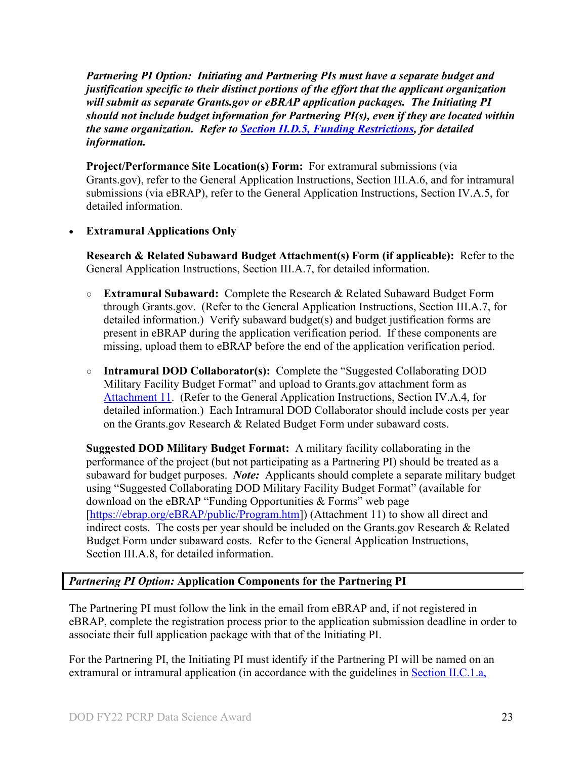*Partnering PI Option: Initiating and Partnering PIs must have a separate budget and justification specific to their distinct portions of the effort that the applicant organization will submit as separate Grants.gov or eBRAP application packages. The Initiating PI should not include budget information for Partnering PI(s), even if they are located within the same organization. Refer to Section [II.D.5, Funding Restrictions,](#page-26-0) for detailed information.*

**Project/Performance Site Location(s) Form:** For extramural submissions (via Grants.gov), refer to the General Application Instructions, Section III.A.6, and for intramural submissions (via eBRAP), refer to the General Application Instructions, Section IV.A.5, for detailed information.

### • **Extramural Applications Only**

<span id="page-22-0"></span>**Research & Related Subaward Budget Attachment(s) Form (if applicable):** Refer to the General Application Instructions, Section III.A.7, for detailed information.

- **Extramural Subaward:** Complete the Research & Related Subaward Budget Form through Grants.gov. (Refer to the General Application Instructions, Section III.A.7, for detailed information.) Verify subaward budget(s) and budget justification forms are present in eBRAP during the application verification period. If these components are missing, upload them to eBRAP before the end of the application verification period.
- **Intramural DOD Collaborator(s):** Complete the "Suggested Collaborating DOD Military Facility Budget Format" and upload to Grants.gov attachment form as [Attachment 11.](#page-20-1) (Refer to the General Application Instructions, Section IV.A.4, for detailed information.) Each Intramural DOD Collaborator should include costs per year on the Grants.gov Research & Related Budget Form under subaward costs.

**Suggested DOD Military Budget Format:** A military facility collaborating in the performance of the project (but not participating as a Partnering PI) should be treated as a subaward for budget purposes. *Note:*Applicants should complete a separate military budget using "Suggested Collaborating DOD Military Facility Budget Format" (available for download on the eBRAP "Funding Opportunities & Forms" web page [\[https://ebrap.org/eBRAP/public/Program.htm\]](https://ebrap.org/eBRAP/public/Program.htm)) (Attachment 11) to show all direct and indirect costs. The costs per year should be included on the Grants.gov Research & Related Budget Form under subaward costs. Refer to the General Application Instructions, Section III.A.8, for detailed information.

## *Partnering PI Option:* **Application Components for the Partnering PI**

The Partnering PI must follow the link in the email from eBRAP and, if not registered in eBRAP, complete the registration process prior to the application submission deadline in order to associate their full application package with that of the Initiating PI.

For the Partnering PI, the Initiating PI must identify if the Partnering PI will be named on an extramural or intramural application (in accordance with the guidelines in Section [II.C.1.a,](#page-7-2)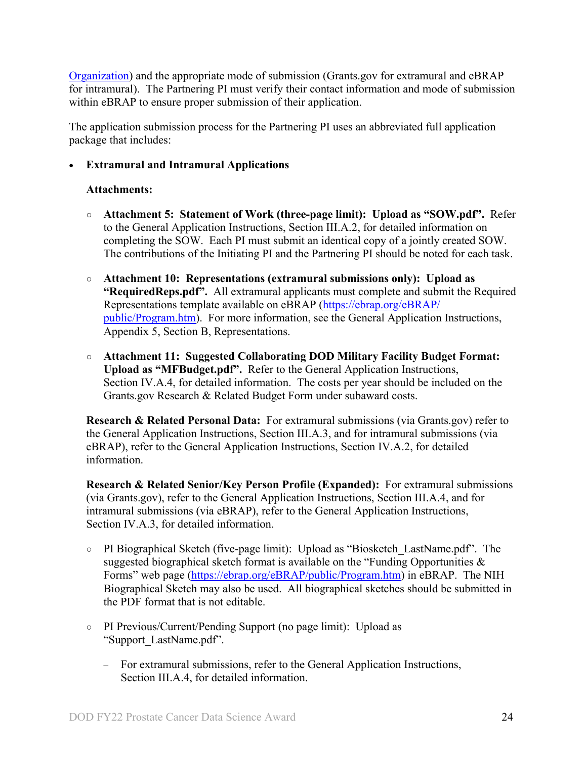[Organization\)](#page-7-2) and the appropriate mode of submission (Grants.gov for extramural and eBRAP for intramural). The Partnering PI must verify their contact information and mode of submission within eBRAP to ensure proper submission of their application.

The application submission process for the Partnering PI uses an abbreviated full application package that includes:

#### • **Extramural and Intramural Applications**

#### **Attachments:**

- **Attachment 5: Statement of Work (three-page limit): Upload as "SOW.pdf".** Refer to the General Application Instructions, Section III.A.2, for detailed information on completing the SOW. Each PI must submit an identical copy of a jointly created SOW. The contributions of the Initiating PI and the Partnering PI should be noted for each task.
- **Attachment 10: Representations (extramural submissions only): Upload as "RequiredReps.pdf".** All extramural applicants must complete and submit the Required Representations template available on eBRAP [\(https://ebrap.org/eBRAP/](https://ebrap.org/eBRAP/public/Program.htm) [public/Program.htm\)](https://ebrap.org/eBRAP/public/Program.htm). For more information, see the General Application Instructions, Appendix 5, Section B, Representations.
- **Attachment 11: Suggested Collaborating DOD Military Facility Budget Format: Upload as "MFBudget.pdf".** Refer to the General Application Instructions, Section IV.A.4, for detailed information. The costs per year should be included on the Grants.gov Research & Related Budget Form under subaward costs.

**Research & Related Personal Data:** For extramural submissions (via Grants.gov) refer to the General Application Instructions, Section III.A.3, and for intramural submissions (via eBRAP), refer to the General Application Instructions, Section IV.A.2, for detailed information.

**Research & Related Senior/Key Person Profile (Expanded):** For extramural submissions (via Grants.gov), refer to the General Application Instructions, Section III.A.4, and for intramural submissions (via eBRAP), refer to the General Application Instructions, Section IV.A.3, for detailed information.

- PI Biographical Sketch (five-page limit): Upload as "Biosketch\_LastName.pdf". The suggested biographical sketch format is available on the "Funding Opportunities  $\&$ Forms" web page [\(https://ebrap.org/eBRAP/public/Program.htm\)](https://ebrap.org/eBRAP/public/Program.htm) in eBRAP. The NIH Biographical Sketch may also be used. All biographical sketches should be submitted in the PDF format that is not editable.
- PI Previous/Current/Pending Support (no page limit): Upload as "Support\_LastName.pdf".
	- For extramural submissions, refer to the General Application Instructions, Section III.A.4, for detailed information.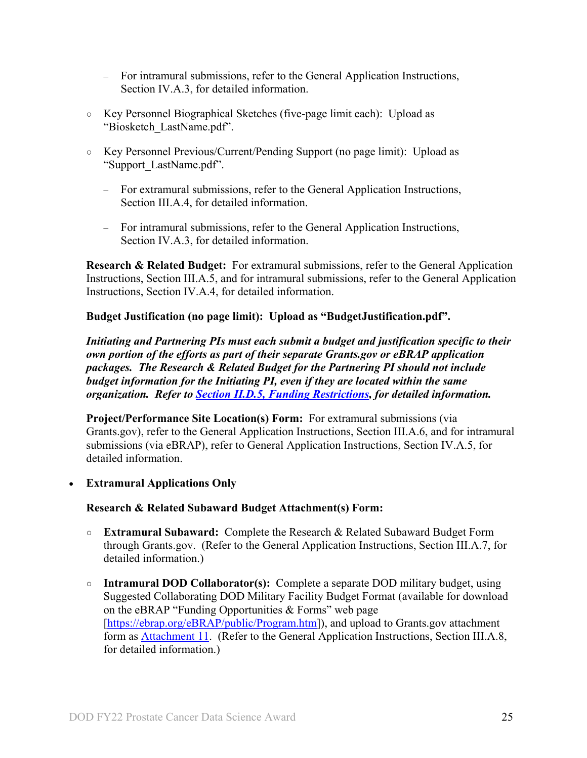- For intramural submissions, refer to the General Application Instructions, Section IV.A.3, for detailed information.
- Key Personnel Biographical Sketches (five-page limit each): Upload as "Biosketch\_LastName.pdf".
- Key Personnel Previous/Current/Pending Support (no page limit): Upload as "Support\_LastName.pdf".
	- For extramural submissions, refer to the General Application Instructions, Section III.A.4, for detailed information.
	- For intramural submissions, refer to the General Application Instructions, Section IV.A.3, for detailed information.

**Research & Related Budget:** For extramural submissions, refer to the General Application Instructions, Section III.A.5, and for intramural submissions, refer to the General Application Instructions, Section IV.A.4, for detailed information.

#### **Budget Justification (no page limit): Upload as "BudgetJustification.pdf".**

*Initiating and Partnering PIs must each submit a budget and justification specific to their own portion of the efforts as part of their separate Grants.gov or eBRAP application packages. The Research & Related Budget for the Partnering PI should not include budget information for the Initiating PI, even if they are located within the same organization. Refer to [Section II.D.5, Funding Restrictions,](#page-26-0) for detailed information.* 

<span id="page-24-0"></span>**Project/Performance Site Location(s) Form:** For extramural submissions (via Grants.gov), refer to the General Application Instructions, Section III.A.6, and for intramural submissions (via eBRAP), refer to General Application Instructions, Section IV.A.5, for detailed information.

• **Extramural Applications Only** 

#### **Research & Related Subaward Budget Attachment(s) Form:**

- **Extramural Subaward:** Complete the Research & Related Subaward Budget Form through Grants.gov. (Refer to the General Application Instructions, Section III.A.7, for detailed information.)
- **Intramural DOD Collaborator(s):** Complete a separate DOD military budget, using Suggested Collaborating DOD Military Facility Budget Format (available for download on the eBRAP "Funding Opportunities & Forms" web page [\[https://ebrap.org/eBRAP/public/Program.htm\]](https://ebrap.org/eBRAP/public/Program.htm)), and upload to Grants.gov attachment form as [Attachment 11.](#page-20-1) (Refer to the General Application Instructions, Section III.A.8, for detailed information.)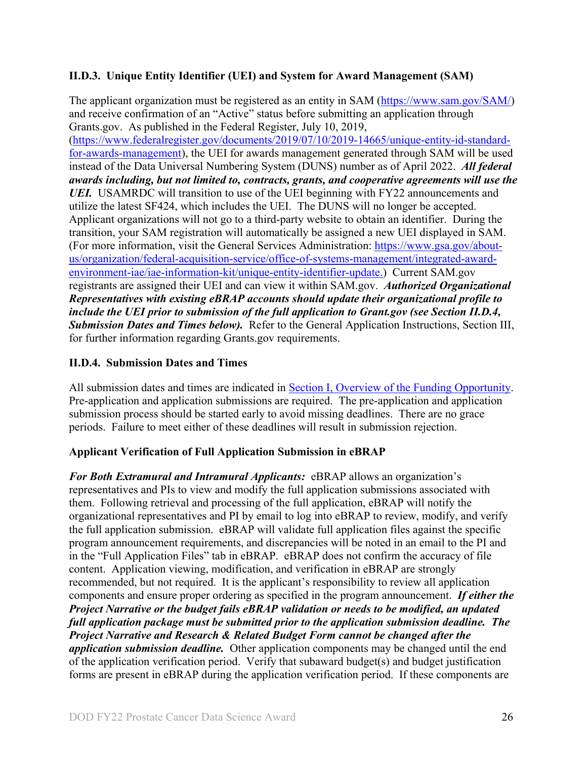### <span id="page-25-0"></span>**II.D.3. Unique Entity Identifier (UEI) and System for Award Management (SAM)**

The applicant organization must be registered as an entity in SAM [\(https://www.sam.gov/SAM/\)](https://www.sam.gov/SAM/) and receive confirmation of an "Active" status before submitting an application through Grants.gov. As published in the Federal Register, July 10, 2019, [\(https://www.federalregister.gov/documents/2019/07/10/2019-14665/unique-entity-id-standard](https://www.federalregister.gov/documents/2019/07/10/2019-14665/unique-entity-id-standard-for-awards-management)[for-awards-management\)](https://www.federalregister.gov/documents/2019/07/10/2019-14665/unique-entity-id-standard-for-awards-management), the UEI for awards management generated through SAM will be used instead of the Data Universal Numbering System (DUNS) number as of April 2022. *All federal awards including, but not limited to, contracts, grants, and cooperative agreements will use the UEI.* USAMRDC will transition to use of the UEI beginning with FY22 announcements and utilize the latest SF424, which includes the UEI. The DUNS will no longer be accepted. Applicant organizations will not go to a third-party website to obtain an identifier. During the transition, your SAM registration will automatically be assigned a new UEI displayed in SAM. (For more information, visit the General Services Administration: [https://www.gsa.gov/about](https://www.gsa.gov/about-us/organization/federal-acquisition-service/office-of-systems-management/integrated-award-environment-iae/iae-information-kit/unique-entity-identifier-update)[us/organization/federal-acquisition-service/office-of-systems-management/integrated-award](https://www.gsa.gov/about-us/organization/federal-acquisition-service/office-of-systems-management/integrated-award-environment-iae/iae-information-kit/unique-entity-identifier-update)[environment-iae/iae-information-kit/unique-entity-identifier-update.](https://www.gsa.gov/about-us/organization/federal-acquisition-service/office-of-systems-management/integrated-award-environment-iae/iae-information-kit/unique-entity-identifier-update)) Current SAM.gov registrants are assigned their UEI and can view it within SAM.gov. *Authorized Organizational Representatives with existing eBRAP accounts should update their organizational profile to include the UEI prior to submission of the full application to Grant.gov (see Section II.D.4, Submission Dates and Times below).* Refer to the General Application Instructions, Section III, for further information regarding Grants.gov requirements.

## <span id="page-25-1"></span>**II.D.4. Submission Dates and Times**

All submission dates and times are indicated in [Section I, Overview of the Funding Opportunity.](#page-0-1) Pre-application and application submissions are required. The pre-application and application submission process should be started early to avoid missing deadlines. There are no grace periods. Failure to meet either of these deadlines will result in submission rejection.

#### <span id="page-25-2"></span>**Applicant Verification of Full Application Submission in eBRAP**

*For Both Extramural and Intramural Applicants:* eBRAP allows an organization's representatives and PIs to view and modify the full application submissions associated with them. Following retrieval and processing of the full application, eBRAP will notify the organizational representatives and PI by email to log into eBRAP to review, modify, and verify the full application submission. eBRAP will validate full application files against the specific program announcement requirements, and discrepancies will be noted in an email to the PI and in the "Full Application Files" tab in eBRAP. eBRAP does not confirm the accuracy of file content. Application viewing, modification, and verification in eBRAP are strongly recommended, but not required. It is the applicant's responsibility to review all application components and ensure proper ordering as specified in the program announcement. *If either the Project Narrative or the budget fails eBRAP validation or needs to be modified, an updated full application package must be submitted prior to the application submission deadline. The Project Narrative and Research & Related Budget Form cannot be changed after the application submission deadline.* Other application components may be changed until the end of the [application verification period.](#page-0-0) Verify that subaward budget(s) and budget justification forms are present in eBRAP during the application verification period. If these components are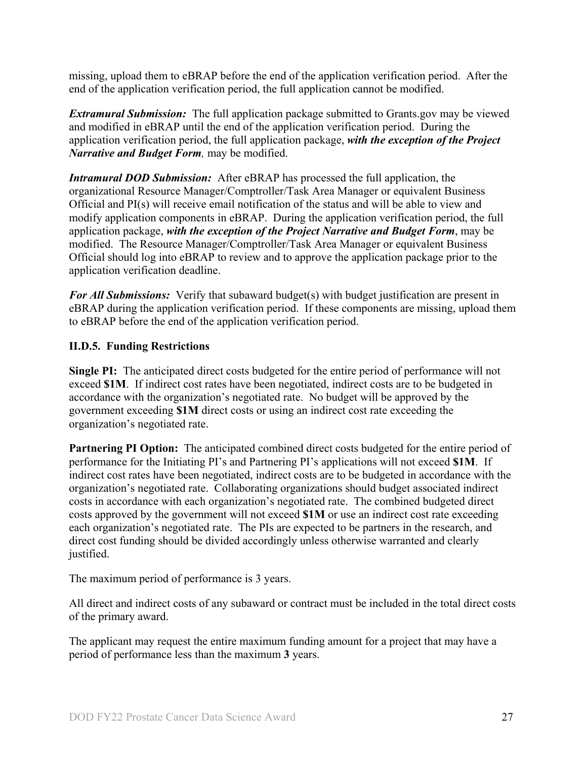missing, upload them to eBRAP before the end of the application verification period. After the end of the application verification period, the full application cannot be modified.

*Extramural Submission:* The full application package submitted to Grants.gov may be viewed and modified in eBRAP until the end of the application verification period. During the application verification period, the full application package, *with the exception of the Project Narrative and Budget Form,* may be modified.

*Intramural DOD Submission:* After eBRAP has processed the full application, the organizational Resource Manager/Comptroller/Task Area Manager or equivalent Business Official and PI(s) will receive email notification of the status and will be able to view and modify application components in eBRAP. During the application verification period, the full application package, *with the exception of the Project Narrative and Budget Form*, may be modified. The Resource Manager/Comptroller/Task Area Manager or equivalent Business Official should log into eBRAP to review and to approve the application package prior to the application verification deadline.

*For All Submissions:* Verify that subaward budget(s) with budget justification are present in eBRAP during the application verification period. If these components are missing, upload them to eBRAP before the end of the application verification period.

### <span id="page-26-0"></span>**II.D.5. Funding Restrictions**

**Single PI:** The anticipated direct costs budgeted for the entire period of performance will not exceed **\$1M**. If indirect cost rates have been negotiated, indirect costs are to be budgeted in accordance with the organization's negotiated rate. No budget will be approved by the government exceeding **\$1M** direct costs or using an indirect cost rate exceeding the organization's negotiated rate.

**Partnering PI Option:** The anticipated combined direct costs budgeted for the entire period of performance for the Initiating PI's and Partnering PI's applications will not exceed **\$1M**. If indirect cost rates have been negotiated, indirect costs are to be budgeted in accordance with the organization's negotiated rate. Collaborating organizations should budget associated indirect costs in accordance with each organization's negotiated rate. The combined budgeted direct costs approved by the government will not exceed **\$1M** or use an indirect cost rate exceeding each organization's negotiated rate. The PIs are expected to be partners in the research, and direct cost funding should be divided accordingly unless otherwise warranted and clearly justified.

The maximum period of performance is 3 years.

All direct and indirect costs of any subaward or contract must be included in the total direct costs of the primary award.

The applicant may request the entire maximum funding amount for a project that may have a period of performance less than the maximum **3** years.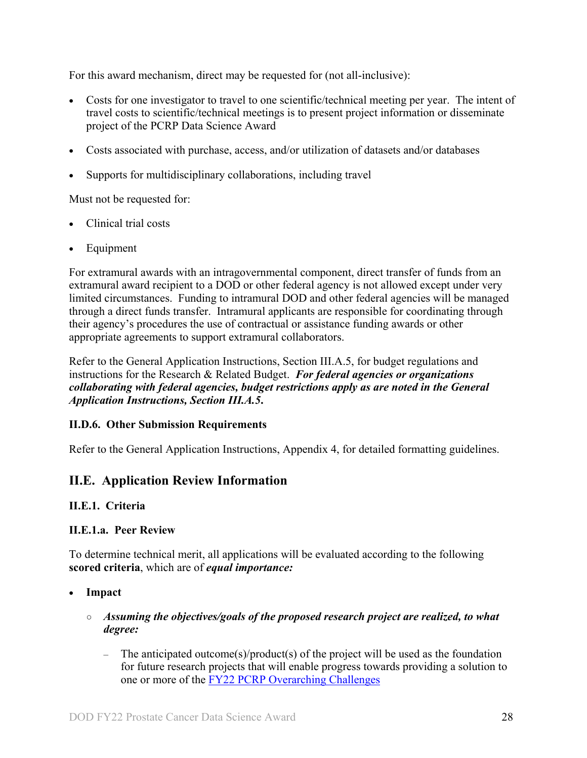For this award mechanism, direct may be requested for (not all-inclusive):

- Costs for one investigator to travel to one scientific/technical meeting per year. The intent of travel costs to scientific/technical meetings is to present project information or disseminate project of the PCRP Data Science Award
- Costs associated with purchase, access, and/or utilization of datasets and/or databases
- Supports for multidisciplinary collaborations, including travel

Must not be requested for:

- Clinical trial costs
- **Equipment**

For extramural awards with an intragovernmental component, direct transfer of funds from an extramural award recipient to a DOD or other federal agency is not allowed except under very limited circumstances. Funding to intramural DOD and other federal agencies will be managed through a direct funds transfer. Intramural applicants are responsible for coordinating through their agency's procedures the use of contractual or assistance funding awards or other appropriate agreements to support extramural collaborators.

Refer to the General Application Instructions, Section III.A.5, for budget regulations and instructions for the Research & Related Budget. *For federal agencies or organizations collaborating with federal agencies, budget restrictions apply as are noted in the General Application Instructions, Section III.A.5***.**

#### <span id="page-27-0"></span>**II.D.6. Other Submission Requirements**

Refer to the General Application Instructions, Appendix 4, for detailed formatting guidelines.

## <span id="page-27-1"></span>**II.E. Application Review Information**

#### <span id="page-27-2"></span>**II.E.1. Criteria**

#### **II.E.1.a. Peer Review**

To determine technical merit, all applications will be evaluated according to the following **scored criteria**, which are of *equal importance:*

- **Impact**
	- *Assuming the objectives/goals of the proposed research project are realized, to what degree:*
		- The anticipated outcome(s)/product(s) of the project will be used as the foundation for future research projects that will enable progress towards providing a solution to one or more of the [FY22 PCRP Overarching Challenges](#page-2-2)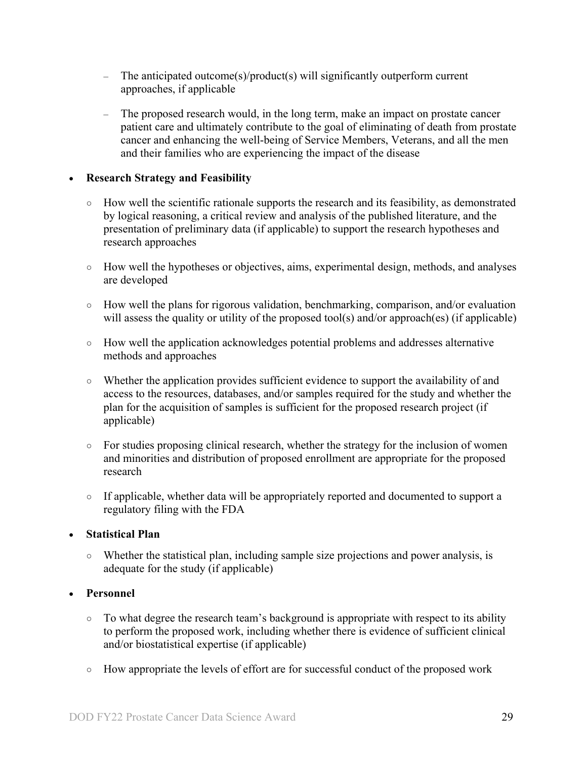- The anticipated outcome(s)/product(s) will significantly outperform current approaches, if applicable
- The proposed research would, in the long term, make an impact on prostate cancer patient care and ultimately contribute to the goal of eliminating of death from prostate cancer and enhancing the well-being of Service Members, Veterans, and all the men and their families who are experiencing the impact of the disease

#### • **Research Strategy and Feasibility**

- How well the scientific rationale supports the research and its feasibility, as demonstrated by logical reasoning, a critical review and analysis of the published literature, and the presentation of preliminary data (if applicable) to support the research hypotheses and research approaches
- How well the hypotheses or objectives, aims, experimental design, methods, and analyses are developed
- How well the plans for rigorous validation, benchmarking, comparison, and/or evaluation will assess the quality or utility of the proposed tool(s) and/or approach(es) (if applicable)
- How well the application acknowledges potential problems and addresses alternative methods and approaches
- Whether the application provides sufficient evidence to support the availability of and access to the resources, databases, and/or samples required for the study and whether the plan for the acquisition of samples is sufficient for the proposed research project (if applicable)
- For studies proposing clinical research, whether the strategy for the inclusion of women and minorities and distribution of proposed enrollment are appropriate for the proposed research
- If applicable, whether data will be appropriately reported and documented to support a regulatory filing with the FDA

#### • **Statistical Plan**

○ Whether the statistical plan, including sample size projections and power analysis, is adequate for the study (if applicable)

#### • **Personnel**

- To what degree the research team's background is appropriate with respect to its ability to perform the proposed work, including whether there is evidence of sufficient clinical and/or biostatistical expertise (if applicable)
- How appropriate the levels of effort are for successful conduct of the proposed work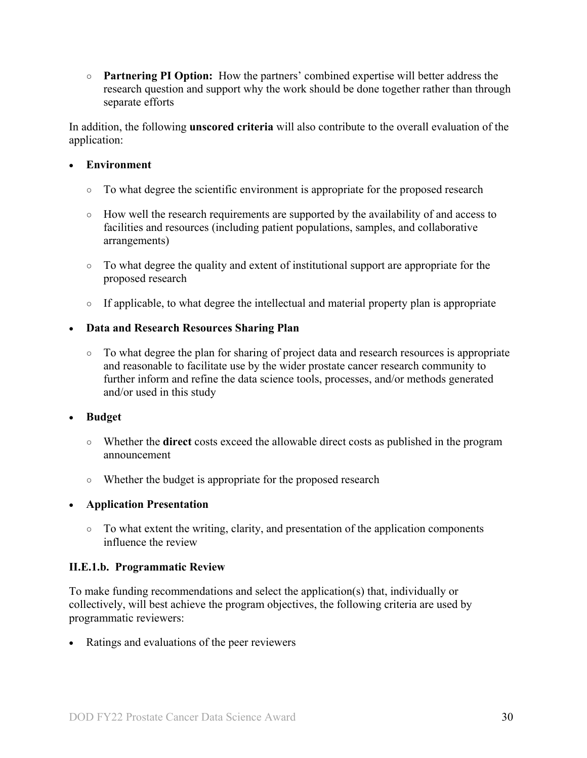○ **Partnering PI Option:** How the partners' combined expertise will better address the research question and support why the work should be done together rather than through separate efforts

In addition, the following **unscored criteria** will also contribute to the overall evaluation of the application:

#### • **Environment**

- To what degree the scientific environment is appropriate for the proposed research
- How well the research requirements are supported by the availability of and access to facilities and resources (including patient populations, samples, and collaborative arrangements)
- To what degree the quality and extent of institutional support are appropriate for the proposed research
- If applicable, to what degree the intellectual and material property plan is appropriate

## • **Data and Research Resources Sharing Plan**

○ To what degree the plan for sharing of project data and research resources is appropriate and reasonable to facilitate use by the wider prostate cancer research community to further inform and refine the data science tools, processes, and/or methods generated and/or used in this study

#### • **Budget**

- Whether the **direct** costs exceed the allowable direct costs as published in the program announcement
- Whether the budget is appropriate for the proposed research

## • **Application Presentation**

○ To what extent the writing, clarity, and presentation of the application components influence the review

#### <span id="page-29-0"></span>**II.E.1.b. Programmatic Review**

To make funding recommendations and select the application(s) that, individually or collectively, will best achieve the program objectives, the following criteria are used by programmatic reviewers:

Ratings and evaluations of the peer reviewers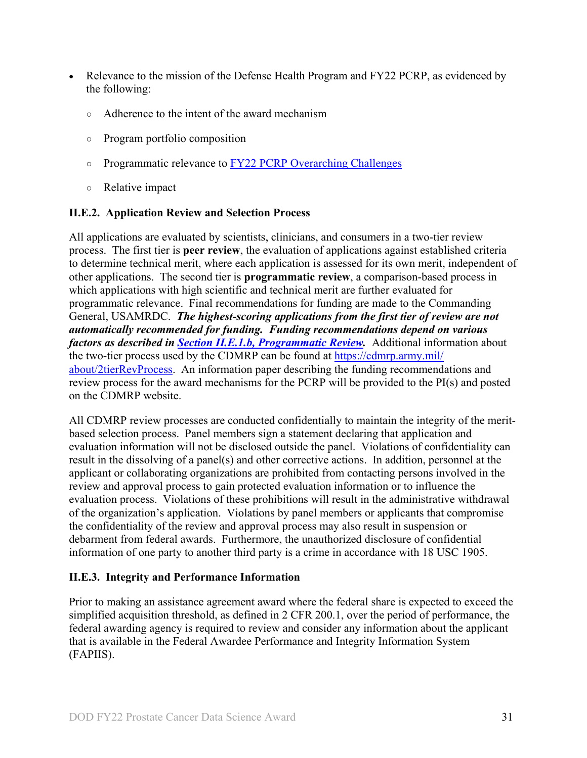- Relevance to the mission of the Defense Health Program and FY22 PCRP, as evidenced by the following:
	- Adherence to the intent of the award mechanism
	- Program portfolio composition
	- Programmatic relevance to FY22 PCRP Overarching Challenges
	- Relative impact

#### <span id="page-30-0"></span>**II.E.2. Application Review and Selection Process**

All applications are evaluated by scientists, clinicians, and consumers in a two-tier review process. The first tier is **peer review**, the evaluation of applications against established criteria to determine technical merit, where each application is assessed for its own merit, independent of other applications. The second tier is **programmatic review**, a comparison-based process in which applications with high scientific and technical merit are further evaluated for programmatic relevance. Final recommendations for funding are made to the Commanding General, USAMRDC. *The highest-scoring applications from the first tier of review are not automatically recommended for funding. Funding recommendations depend on various factors as described in Section [II.E.1.b, Programmatic Review.](#page-29-0)* Additional information about the two-tier process used by the CDMRP can be found at [https://cdmrp.army.mil/](https://cdmrp.army.mil/about/2tierRevProcess) [about/2tierRevProcess.](https://cdmrp.army.mil/about/2tierRevProcess) An information paper describing the funding recommendations and review process for the award mechanisms for the PCRP will be provided to the PI(s) and posted on the CDMRP website.

All CDMRP review processes are conducted confidentially to maintain the integrity of the meritbased selection process. Panel members sign a statement declaring that application and evaluation information will not be disclosed outside the panel. Violations of confidentiality can result in the dissolving of a panel(s) and other corrective actions. In addition, personnel at the applicant or collaborating organizations are prohibited from contacting persons involved in the review and approval process to gain protected evaluation information or to influence the evaluation process. Violations of these prohibitions will result in the administrative withdrawal of the organization's application. Violations by panel members or applicants that compromise the confidentiality of the review and approval process may also result in suspension or debarment from federal awards. Furthermore, the unauthorized disclosure of confidential information of one party to another third party is a crime in accordance with 18 USC 1905.

#### <span id="page-30-1"></span>**II.E.3. Integrity and Performance Information**

Prior to making an assistance agreement award where the federal share is expected to exceed the simplified acquisition threshold, as defined in 2 CFR 200.1, over the period of performance, the federal awarding agency is required to review and consider any information about the applicant that is available in the Federal Awardee Performance and Integrity Information System (FAPIIS).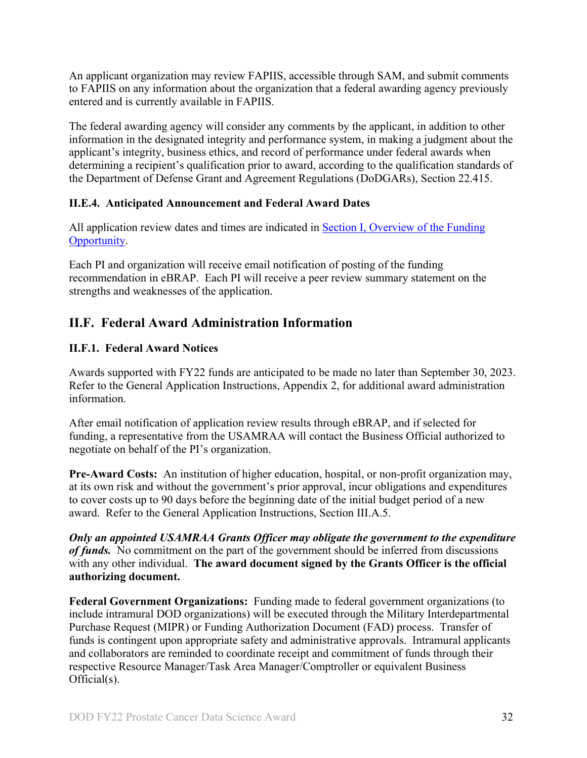An applicant organization may review FAPIIS, accessible through SAM, and submit comments to FAPIIS on any information about the organization that a federal awarding agency previously entered and is currently available in FAPIIS.

The federal awarding agency will consider any comments by the applicant, in addition to other information in the designated integrity and performance system, in making a judgment about the applicant's integrity, business ethics, and record of performance under federal awards when determining a recipient's qualification prior to award, according to the qualification standards of the Department of Defense Grant and Agreement Regulations (DoDGARs), Section 22.415.

## <span id="page-31-0"></span>**II.E.4. Anticipated Announcement and Federal Award Dates**

All application review dates and times are indicated in [Section I, Overview of the Funding](#page-0-1)  [Opportunity.](#page-0-1)

Each PI and organization will receive email notification of posting of the funding recommendation in eBRAP. Each PI will receive a peer review summary statement on the strengths and weaknesses of the application.

## <span id="page-31-1"></span>**II.F. Federal Award Administration Information**

## <span id="page-31-2"></span>**II.F.1. Federal Award Notices**

Awards supported with FY22 funds are anticipated to be made no later than September 30, 2023. Refer to the General Application Instructions, Appendix 2, for additional award administration information.

After email notification of application review results through eBRAP, and if selected for funding, a representative from the USAMRAA will contact the Business Official authorized to negotiate on behalf of the PI's organization.

**Pre-Award Costs:** An institution of higher education, hospital, or non-profit organization may, at its own risk and without the government's prior approval, incur obligations and expenditures to cover costs up to 90 days before the beginning date of the initial budget period of a new award. Refer to the General Application Instructions, Section III.A.5.

*Only an appointed USAMRAA Grants Officer may obligate the government to the expenditure of funds.* No commitment on the part of the government should be inferred from discussions with any other individual. **The award document signed by the Grants Officer is the official authorizing document.**

**Federal Government Organizations:**Funding made to federal government organizations (to include intramural DOD organizations) will be executed through the Military Interdepartmental Purchase Request (MIPR) or Funding Authorization Document (FAD) process. Transfer of funds is contingent upon appropriate safety and administrative approvals. Intramural applicants and collaborators are reminded to coordinate receipt and commitment of funds through their respective Resource Manager/Task Area Manager/Comptroller or equivalent Business Official(s).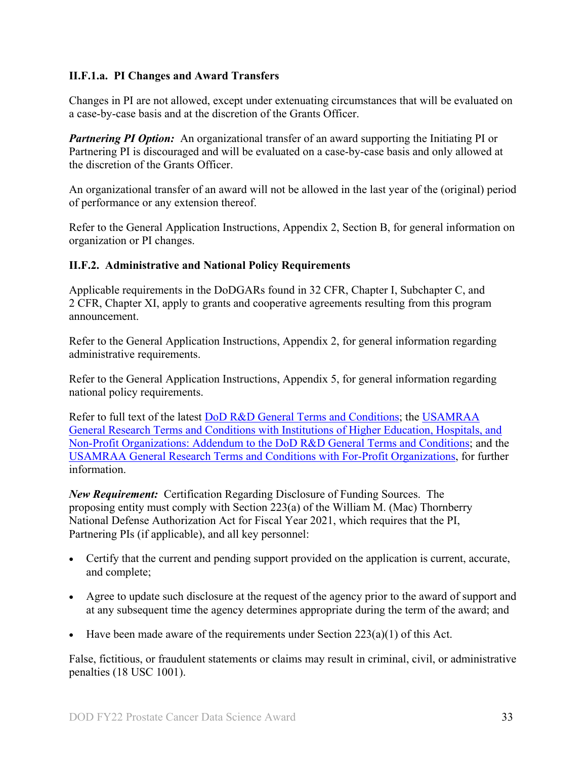### **II.F.1.a. PI Changes and Award Transfers**

Changes in PI are not allowed, except under extenuating circumstances that will be evaluated on a case-by-case basis and at the discretion of the Grants Officer.

*Partnering PI Option:* An organizational transfer of an award supporting the Initiating PI or Partnering PI is discouraged and will be evaluated on a case-by-case basis and only allowed at the discretion of the Grants Officer.

An organizational transfer of an award will not be allowed in the last year of the (original) period of performance or any extension thereof.

Refer to the General Application Instructions, Appendix 2, Section B, for general information on organization or PI changes.

#### <span id="page-32-0"></span>**II.F.2. Administrative and National Policy Requirements**

Applicable requirements in the DoDGARs found in 32 CFR, Chapter I, Subchapter C, and 2 CFR, Chapter XI, apply to grants and cooperative agreements resulting from this program announcement.

Refer to the General Application Instructions, Appendix 2, for general information regarding administrative requirements.

Refer to the General Application Instructions, Appendix 5, for general information regarding national policy requirements.

Refer to full text of the latest DoD [R&D General Terms and Conditions;](https://www.onr.navy.mil/work-with-us/manage-your-award/manage-grant-award/grants-terms-conditions) the [USAMRAA](https://www.usamraa.army.mil/Pages/Resources.aspx)  [General Research Terms and Conditions with Institutions of Higher Education, Hospitals, and](https://www.usamraa.army.mil/Pages/Resources.aspx)  [Non-Profit Organizations: Addendum to the DoD](https://www.usamraa.army.mil/Pages/Resources.aspx) R&D General Terms and Conditions; and the [USAMRAA General Research Terms and Conditions with For-Profit Organizations,](https://www.usamraa.army.mil/Pages/Resources.aspx) for further information.

*New Requirement:* Certification Regarding Disclosure of Funding Sources. The proposing entity must comply with Section 223(a) of the William M. (Mac) Thornberry National Defense Authorization Act for Fiscal Year 2021, which requires that the PI, Partnering PIs (if applicable), and all key personnel:

- Certify that the current and pending support provided on the application is current, accurate, and complete;
- Agree to update such disclosure at the request of the agency prior to the award of support and at any subsequent time the agency determines appropriate during the term of the award; and
- Have been made aware of the requirements under Section  $223(a)(1)$  of this Act.

False, fictitious, or fraudulent statements or claims may result in criminal, civil, or administrative penalties (18 USC 1001).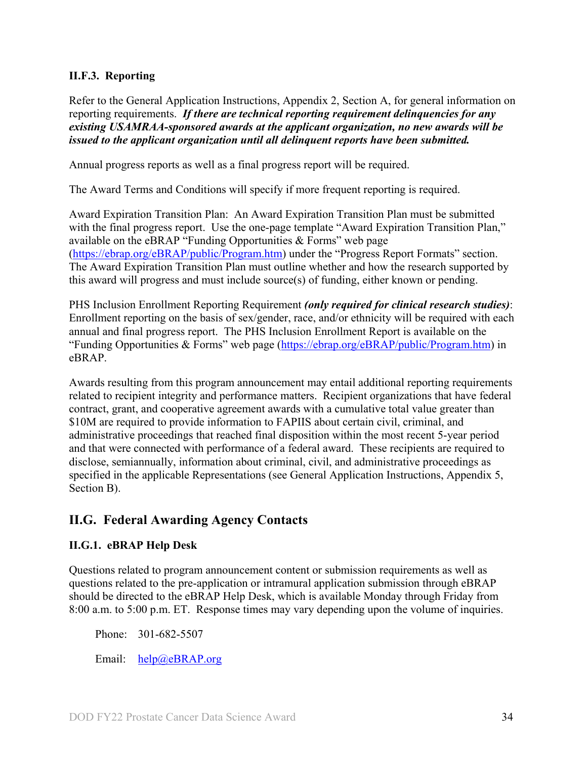#### <span id="page-33-0"></span>**II.F.3. Reporting**

Refer to the General Application Instructions, Appendix 2, Section A, for general information on reporting requirements. *If there are technical reporting requirement delinquencies for any existing USAMRAA-sponsored awards at the applicant organization, no new awards will be issued to the applicant organization until all delinquent reports have been submitted.*

Annual progress reports as well as a final progress report will be required.

The Award Terms and Conditions will specify if more frequent reporting is required.

Award Expiration Transition Plan: An Award Expiration Transition Plan must be submitted with the final progress report. Use the one-page template "Award Expiration Transition Plan," available on the eBRAP "Funding Opportunities  $&$  Forms" web page [\(https://ebrap.org/eBRAP/public/Program.htm\)](https://ebrap.org/eBRAP/public/Program.htm) under the "Progress Report Formats" section. The Award Expiration Transition Plan must outline whether and how the research supported by this award will progress and must include source(s) of funding, either known or pending.

PHS Inclusion Enrollment Reporting Requirement *(only required for clinical research studies)*: Enrollment reporting on the basis of sex/gender, race, and/or ethnicity will be required with each annual and final progress report. The PHS Inclusion Enrollment Report is available on the "Funding Opportunities & Forms" web page [\(https://ebrap.org/eBRAP/public/Program.htm\)](https://ebrap.org/eBRAP/public/Program.htm) in eBRAP.

Awards resulting from this program announcement may entail additional reporting requirements related to recipient integrity and performance matters. Recipient organizations that have federal contract, grant, and cooperative agreement awards with a cumulative total value greater than \$10M are required to provide information to FAPIIS about certain civil, criminal, and administrative proceedings that reached final disposition within the most recent 5-year period and that were connected with performance of a federal award. These recipients are required to disclose, semiannually, information about criminal, civil, and administrative proceedings as specified in the applicable Representations (see General Application Instructions, Appendix 5, Section B).

## <span id="page-33-1"></span>**II.G. Federal Awarding Agency Contacts**

#### <span id="page-33-2"></span>**II.G.1. eBRAP Help Desk**

Questions related to program announcement content or submission requirements as well as questions related to the pre-application or intramural application submission through eBRAP should be directed to the eBRAP Help Desk, which is available Monday through Friday from 8:00 a.m. to 5:00 p.m. ET. Response times may vary depending upon the volume of inquiries.

Phone: 301-682-5507

Email: [help@eBRAP.org](mailto:help@eBRAP.org)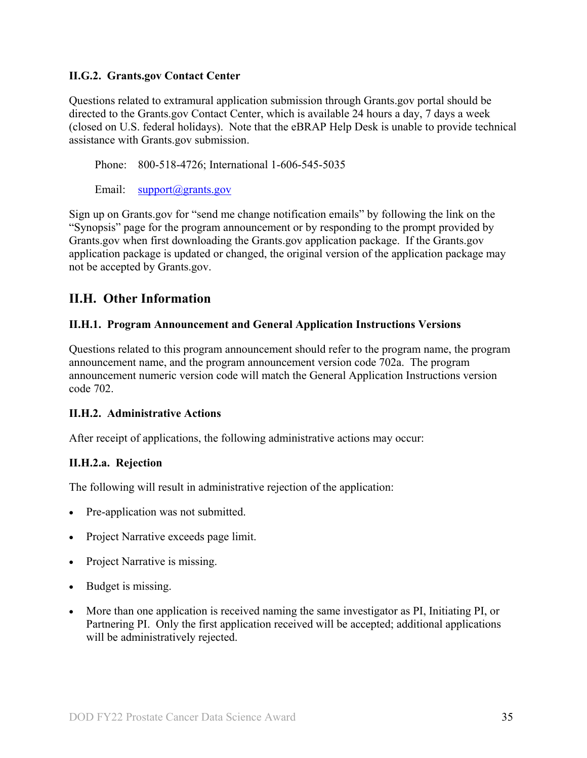#### <span id="page-34-0"></span>**II.G.2. Grants.gov Contact Center**

Questions related to extramural application submission through Grants.gov portal should be directed to the Grants.gov Contact Center, which is available 24 hours a day, 7 days a week (closed on U.S. federal holidays). Note that the eBRAP Help Desk is unable to provide technical assistance with Grants.gov submission.

Phone: 800-518-4726; International 1-606-545-5035

Email: [support@grants.gov](mailto:support@grants.gov)

Sign up on Grants.gov for "send me change notification emails" by following the link on the "Synopsis" page for the program announcement or by responding to the prompt provided by Grants.gov when first downloading the Grants.gov application package. If the Grants.gov application package is updated or changed, the original version of the application package may not be accepted by Grants.gov.

## <span id="page-34-1"></span>**II.H. Other Information**

#### <span id="page-34-2"></span>**II.H.1. Program Announcement and General Application Instructions Versions**

Questions related to this program announcement should refer to the program name, the program announcement name, and the program announcement version code 702a. The program announcement numeric version code will match the General Application Instructions version code 702.

#### <span id="page-34-3"></span>**II.H.2. Administrative Actions**

After receipt of applications, the following administrative actions may occur:

#### **II.H.2.a. Rejection**

The following will result in administrative rejection of the application:

- Pre-application was not submitted.
- Project Narrative exceeds page limit.
- Project Narrative is missing.
- Budget is missing.
- More than one application is received naming the same investigator as PI, Initiating PI, or Partnering PI. Only the first application received will be accepted; additional applications will be administratively rejected.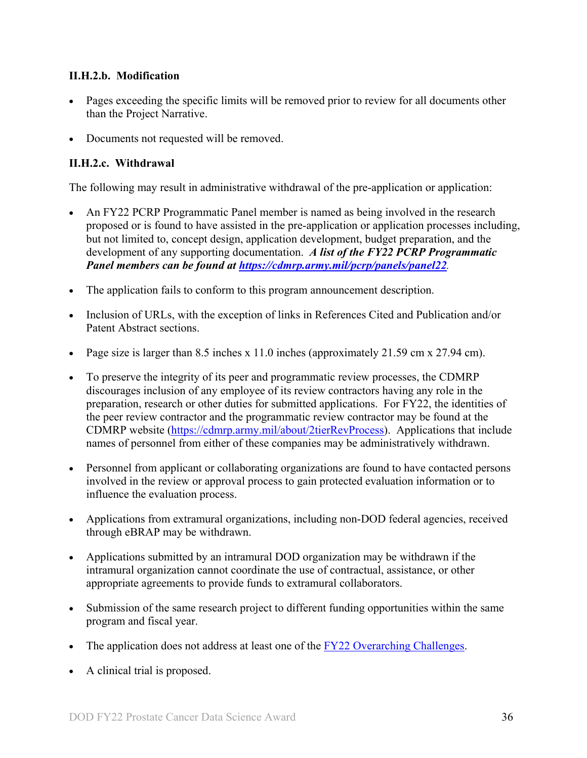#### **II.H.2.b. Modification**

- Pages exceeding the specific limits will be removed prior to review for all documents other than the Project Narrative.
- Documents not requested will be removed.

#### <span id="page-35-0"></span>**II.H.2.c. Withdrawal**

The following may result in administrative withdrawal of the pre-application or application:

- An FY22 PCRP Programmatic Panel member is named as being involved in the research proposed or is found to have assisted in the pre-application or application processes including, but not limited to, concept design, application development, budget preparation, and the development of any supporting documentation. *A list of the FY22 PCRP Programmatic Panel members can be found at<https://cdmrp.army.mil/pcrp/panels/panel22>.*
- The application fails to conform to this program announcement description.
- Inclusion of URLs, with the exception of links in References Cited and Publication and/or Patent Abstract sections.
- Page size is larger than 8.5 inches x 11.0 inches (approximately 21.59 cm x 27.94 cm).
- To preserve the integrity of its peer and programmatic review processes, the CDMRP discourages inclusion of any employee of its review contractors having any role in the preparation, research or other duties for submitted applications. For FY22, the identities of the peer review contractor and the programmatic review contractor may be found at the CDMRP website [\(https://cdmrp.army.mil/about/2tierRevProcess\)](https://cdmrp.army.mil/about/2tierRevProcess). Applications that include names of personnel from either of these companies may be administratively withdrawn.
- Personnel from applicant or collaborating organizations are found to have contacted persons involved in the review or approval process to gain protected evaluation information or to influence the evaluation process.
- Applications from extramural organizations, including non-DOD federal agencies, received through eBRAP may be withdrawn.
- Applications submitted by an intramural DOD organization may be withdrawn if the intramural organization cannot coordinate the use of contractual, assistance, or other appropriate agreements to provide funds to extramural collaborators.
- Submission of the same research project to different funding opportunities within the same program and fiscal year.
- The application does not address at least one of the [FY22 Overarching Challenges.](#page-2-2)
- A clinical trial is proposed.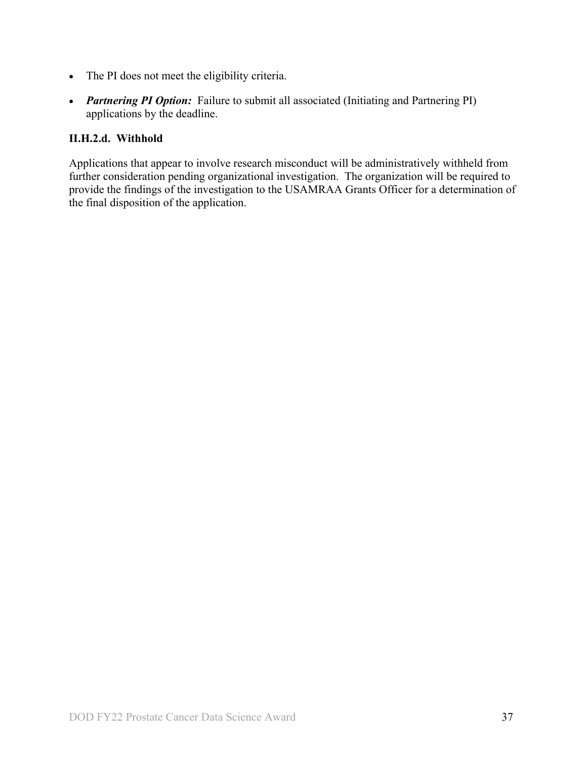- The PI does not meet the eligibility criteria.
- *Partnering PI Option:* Failure to submit all associated (Initiating and Partnering PI) applications by the deadline.

### **II.H.2.d. Withhold**

Applications that appear to involve research misconduct will be administratively withheld from further consideration pending organizational investigation. The organization will be required to provide the findings of the investigation to the USAMRAA Grants Officer for a determination of the final disposition of the application.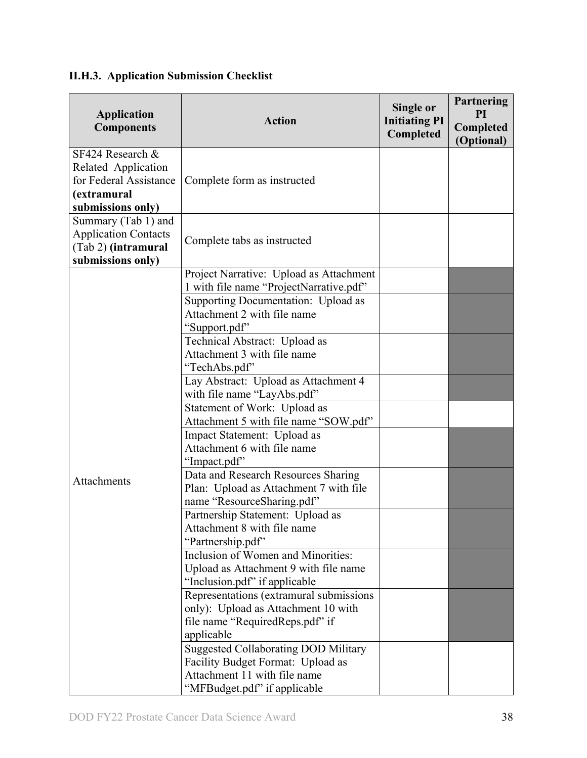<span id="page-37-0"></span>

| <b>II.H.3. Application Submission Checklist</b> |  |  |  |  |  |
|-------------------------------------------------|--|--|--|--|--|
|-------------------------------------------------|--|--|--|--|--|

| <b>Application</b><br><b>Components</b>                                                                  | <b>Action</b>                                                                                                                                                                                                                                                                                                                                                                                                                                                                                                                                                                                                                                                                                                                                                                                                                                                                                                                                                                                                                                                                                          | Single or<br><b>Initiating PI</b><br>Completed | Partnering<br>PI<br>Completed<br>(Optional) |
|----------------------------------------------------------------------------------------------------------|--------------------------------------------------------------------------------------------------------------------------------------------------------------------------------------------------------------------------------------------------------------------------------------------------------------------------------------------------------------------------------------------------------------------------------------------------------------------------------------------------------------------------------------------------------------------------------------------------------------------------------------------------------------------------------------------------------------------------------------------------------------------------------------------------------------------------------------------------------------------------------------------------------------------------------------------------------------------------------------------------------------------------------------------------------------------------------------------------------|------------------------------------------------|---------------------------------------------|
| SF424 Research $\&$<br>Related Application<br>for Federal Assistance<br>(extramural<br>submissions only) | Complete form as instructed                                                                                                                                                                                                                                                                                                                                                                                                                                                                                                                                                                                                                                                                                                                                                                                                                                                                                                                                                                                                                                                                            |                                                |                                             |
| Summary (Tab 1) and<br><b>Application Contacts</b><br>(Tab 2) (intramural<br>submissions only)           | Complete tabs as instructed                                                                                                                                                                                                                                                                                                                                                                                                                                                                                                                                                                                                                                                                                                                                                                                                                                                                                                                                                                                                                                                                            |                                                |                                             |
| Attachments                                                                                              | Project Narrative: Upload as Attachment<br>1 with file name "ProjectNarrative.pdf"<br>Supporting Documentation: Upload as<br>Attachment 2 with file name<br>"Support.pdf"<br>Technical Abstract: Upload as<br>Attachment 3 with file name<br>"TechAbs.pdf"<br>Lay Abstract: Upload as Attachment 4<br>with file name "LayAbs.pdf"<br>Statement of Work: Upload as<br>Attachment 5 with file name "SOW.pdf"<br>Impact Statement: Upload as<br>Attachment 6 with file name<br>"Impact.pdf"<br>Data and Research Resources Sharing<br>Plan: Upload as Attachment 7 with file<br>name "ResourceSharing.pdf"<br>Partnership Statement: Upload as<br>Attachment 8 with file name<br>"Partnership.pdf"<br>Inclusion of Women and Minorities:<br>Upload as Attachment 9 with file name<br>"Inclusion.pdf" if applicable<br>Representations (extramural submissions<br>only): Upload as Attachment 10 with<br>file name "RequiredReps.pdf" if<br>applicable<br><b>Suggested Collaborating DOD Military</b><br>Facility Budget Format: Upload as<br>Attachment 11 with file name<br>"MFBudget.pdf" if applicable |                                                |                                             |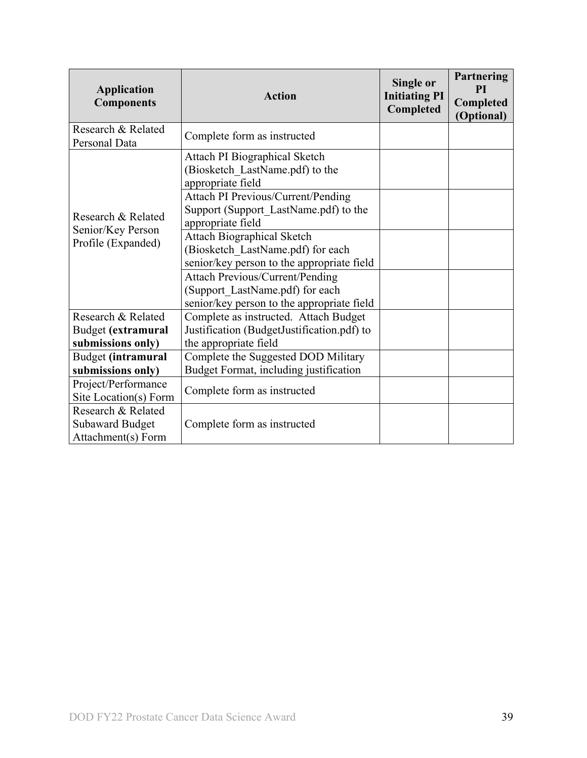| <b>Application</b><br><b>Components</b>                            | <b>Action</b>                                                                                                           | Single or<br><b>Initiating PI</b><br>Completed | Partnering<br><b>PI</b><br>Completed<br>(Optional) |
|--------------------------------------------------------------------|-------------------------------------------------------------------------------------------------------------------------|------------------------------------------------|----------------------------------------------------|
| Research & Related<br>Personal Data                                | Complete form as instructed                                                                                             |                                                |                                                    |
|                                                                    | Attach PI Biographical Sketch<br>(Biosketch LastName.pdf) to the<br>appropriate field                                   |                                                |                                                    |
| Research & Related                                                 | Attach PI Previous/Current/Pending<br>Support (Support LastName.pdf) to the<br>appropriate field                        |                                                |                                                    |
| Senior/Key Person<br>Profile (Expanded)                            | <b>Attach Biographical Sketch</b><br>(Biosketch LastName.pdf) for each<br>senior/key person to the appropriate field    |                                                |                                                    |
|                                                                    | <b>Attach Previous/Current/Pending</b><br>(Support LastName.pdf) for each<br>senior/key person to the appropriate field |                                                |                                                    |
| Research & Related                                                 | Complete as instructed. Attach Budget                                                                                   |                                                |                                                    |
| Budget (extramural                                                 | Justification (BudgetJustification.pdf) to                                                                              |                                                |                                                    |
| submissions only)                                                  | the appropriate field                                                                                                   |                                                |                                                    |
| Budget (intramural                                                 | Complete the Suggested DOD Military                                                                                     |                                                |                                                    |
| submissions only)                                                  | Budget Format, including justification                                                                                  |                                                |                                                    |
| Project/Performance<br>Site Location(s) Form                       | Complete form as instructed                                                                                             |                                                |                                                    |
| Research & Related<br><b>Subaward Budget</b><br>Attachment(s) Form | Complete form as instructed                                                                                             |                                                |                                                    |